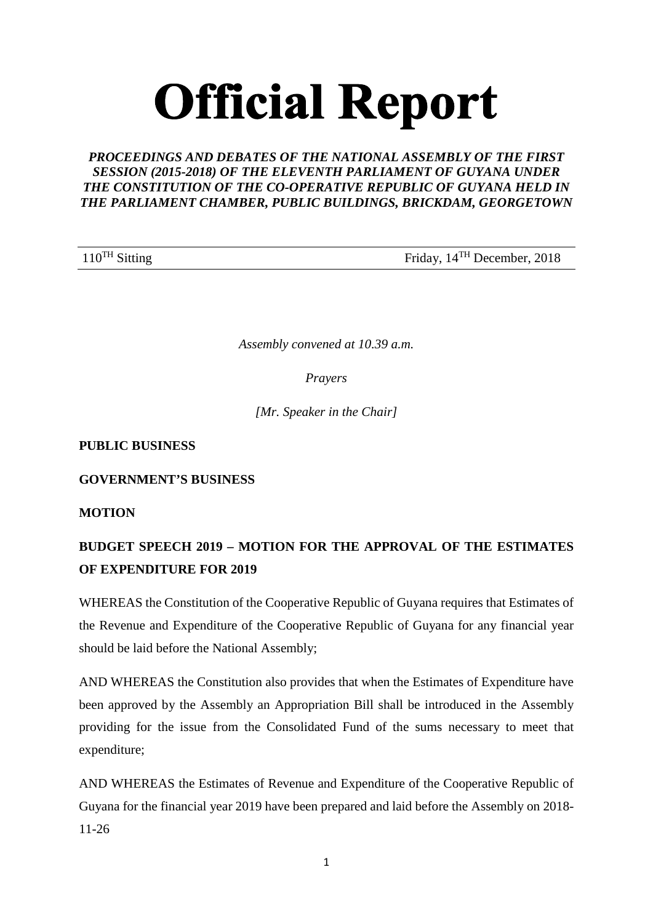# **Official Report**

# *PROCEEDINGS AND DEBATES OF THE NATIONAL ASSEMBLY OF THE FIRST SESSION (2015-2018) OF THE ELEVENTH PARLIAMENT OF GUYANA UNDER THE CONSTITUTION OF THE CO-OPERATIVE REPUBLIC OF GUYANA HELD IN THE PARLIAMENT CHAMBER, PUBLIC BUILDINGS, BRICKDAM, GEORGETOWN*

110<sup>TH</sup> Sitting Friday, 14<sup>TH</sup> December, 2018

*Assembly convened at 10.39 a.m.*

*Prayers*

*[Mr. Speaker in the Chair]*

# **PUBLIC BUSINESS**

**GOVERNMENT'S BUSINESS** 

**MOTION**

# **BUDGET SPEECH 2019 – MOTION FOR THE APPROVAL OF THE ESTIMATES OF EXPENDITURE FOR 2019**

WHEREAS the Constitution of the Cooperative Republic of Guyana requires that Estimates of the Revenue and Expenditure of the Cooperative Republic of Guyana for any financial year should be laid before the National Assembly;

AND WHEREAS the Constitution also provides that when the Estimates of Expenditure have been approved by the Assembly an Appropriation Bill shall be introduced in the Assembly providing for the issue from the Consolidated Fund of the sums necessary to meet that expenditure;

AND WHEREAS the Estimates of Revenue and Expenditure of the Cooperative Republic of Guyana for the financial year 2019 have been prepared and laid before the Assembly on 2018- 11-26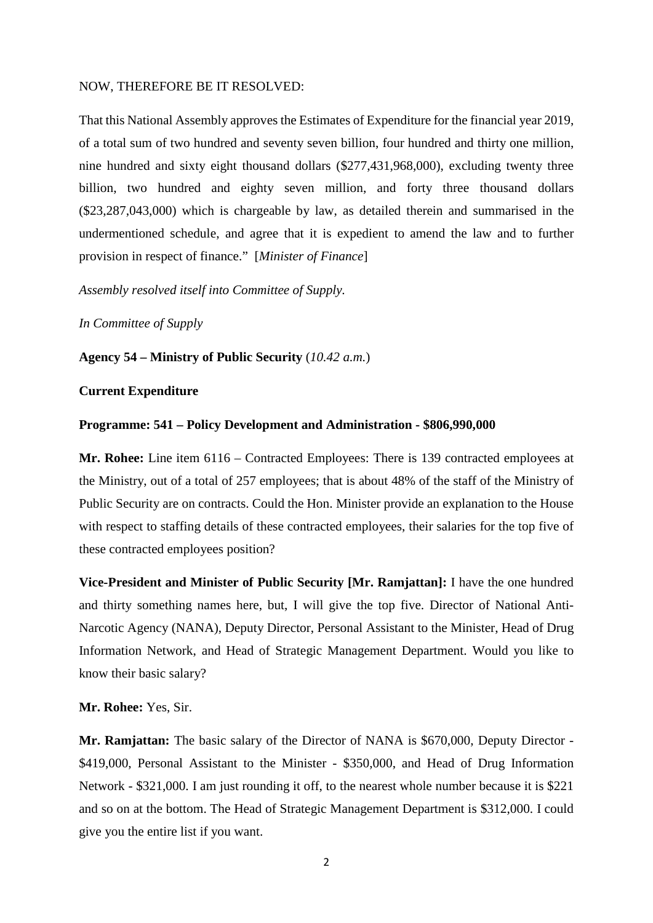#### NOW, THEREFORE BE IT RESOLVED:

That this National Assembly approves the Estimates of Expenditure for the financial year 2019, of a total sum of two hundred and seventy seven billion, four hundred and thirty one million, nine hundred and sixty eight thousand dollars (\$277,431,968,000), excluding twenty three billion, two hundred and eighty seven million, and forty three thousand dollars (\$23,287,043,000) which is chargeable by law, as detailed therein and summarised in the undermentioned schedule, and agree that it is expedient to amend the law and to further provision in respect of finance." [*Minister of Finance*]

*Assembly resolved itself into Committee of Supply.* 

*In Committee of Supply*

**Agency 54 – Ministry of Public Security** (*10.42 a.m.*)

#### **Current Expenditure**

#### **Programme: 541 – Policy Development and Administration - \$806,990,000**

**Mr. Rohee:** Line item 6116 – Contracted Employees: There is 139 contracted employees at the Ministry, out of a total of 257 employees; that is about 48% of the staff of the Ministry of Public Security are on contracts. Could the Hon. Minister provide an explanation to the House with respect to staffing details of these contracted employees, their salaries for the top five of these contracted employees position?

**Vice-President and Minister of Public Security [Mr. Ramjattan]:** I have the one hundred and thirty something names here, but, I will give the top five. Director of National Anti-Narcotic Agency (NANA), Deputy Director, Personal Assistant to the Minister, Head of Drug Information Network, and Head of Strategic Management Department. Would you like to know their basic salary?

**Mr. Rohee:** Yes, Sir.

**Mr. Ramjattan:** The basic salary of the Director of NANA is \$670,000, Deputy Director - \$419,000, Personal Assistant to the Minister - \$350,000, and Head of Drug Information Network - \$321,000. I am just rounding it off, to the nearest whole number because it is \$221 and so on at the bottom. The Head of Strategic Management Department is \$312,000. I could give you the entire list if you want.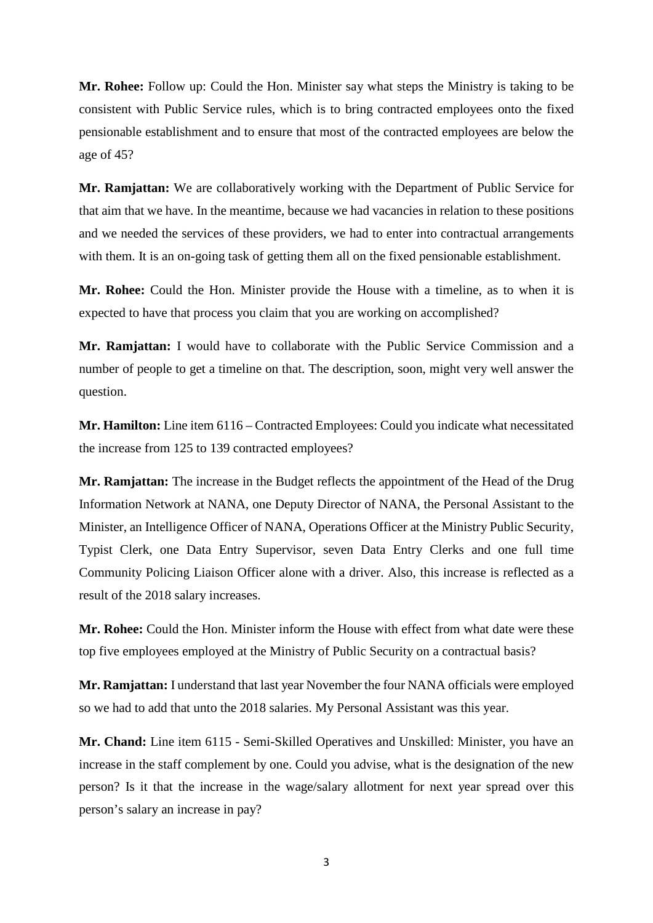**Mr. Rohee:** Follow up: Could the Hon. Minister say what steps the Ministry is taking to be consistent with Public Service rules, which is to bring contracted employees onto the fixed pensionable establishment and to ensure that most of the contracted employees are below the age of 45?

**Mr. Ramjattan:** We are collaboratively working with the Department of Public Service for that aim that we have. In the meantime, because we had vacancies in relation to these positions and we needed the services of these providers, we had to enter into contractual arrangements with them. It is an on-going task of getting them all on the fixed pensionable establishment.

**Mr. Rohee:** Could the Hon. Minister provide the House with a timeline, as to when it is expected to have that process you claim that you are working on accomplished?

**Mr. Ramjattan:** I would have to collaborate with the Public Service Commission and a number of people to get a timeline on that. The description, soon, might very well answer the question.

**Mr. Hamilton:** Line item 6116 – Contracted Employees: Could you indicate what necessitated the increase from 125 to 139 contracted employees?

**Mr. Ramjattan:** The increase in the Budget reflects the appointment of the Head of the Drug Information Network at NANA, one Deputy Director of NANA, the Personal Assistant to the Minister, an Intelligence Officer of NANA, Operations Officer at the Ministry Public Security, Typist Clerk, one Data Entry Supervisor, seven Data Entry Clerks and one full time Community Policing Liaison Officer alone with a driver. Also, this increase is reflected as a result of the 2018 salary increases.

**Mr. Rohee:** Could the Hon. Minister inform the House with effect from what date were these top five employees employed at the Ministry of Public Security on a contractual basis?

**Mr. Ramjattan:** I understand that last year November the four NANA officials were employed so we had to add that unto the 2018 salaries. My Personal Assistant was this year.

**Mr. Chand:** Line item 6115 - Semi-Skilled Operatives and Unskilled: Minister, you have an increase in the staff complement by one. Could you advise, what is the designation of the new person? Is it that the increase in the wage/salary allotment for next year spread over this person's salary an increase in pay?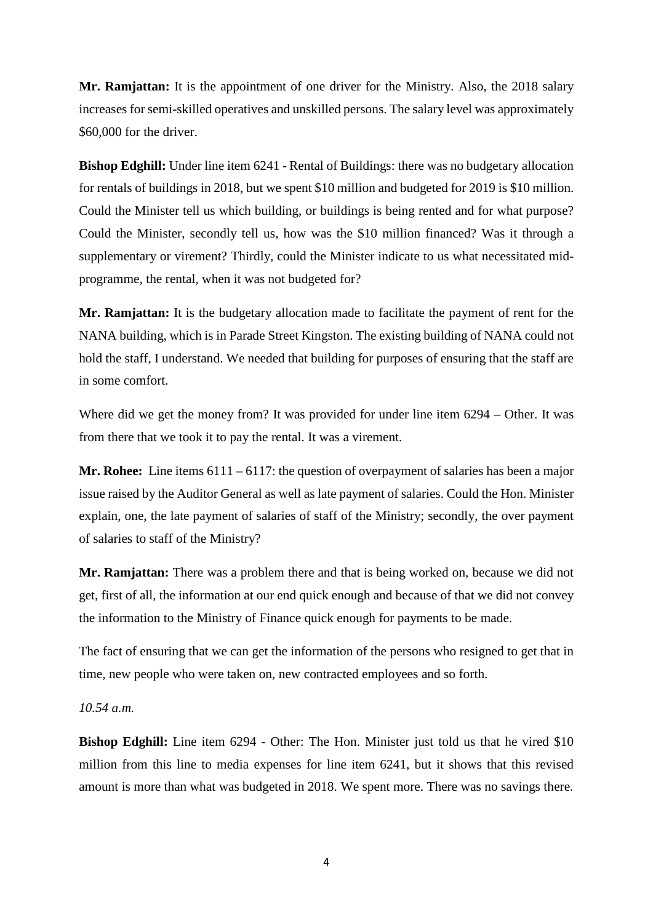**Mr. Ramjattan:** It is the appointment of one driver for the Ministry. Also, the 2018 salary increases for semi-skilled operatives and unskilled persons. The salary level was approximately \$60,000 for the driver.

**Bishop Edghill:** Under line item 6241 - Rental of Buildings: there was no budgetary allocation for rentals of buildings in 2018, but we spent \$10 million and budgeted for 2019 is \$10 million. Could the Minister tell us which building, or buildings is being rented and for what purpose? Could the Minister, secondly tell us, how was the \$10 million financed? Was it through a supplementary or virement? Thirdly, could the Minister indicate to us what necessitated midprogramme, the rental, when it was not budgeted for?

**Mr. Ramjattan:** It is the budgetary allocation made to facilitate the payment of rent for the NANA building, which is in Parade Street Kingston. The existing building of NANA could not hold the staff, I understand. We needed that building for purposes of ensuring that the staff are in some comfort.

Where did we get the money from? It was provided for under line item 6294 – Other. It was from there that we took it to pay the rental. It was a virement.

**Mr. Rohee:** Line items 6111 – 6117: the question of overpayment of salaries has been a major issue raised by the Auditor General as well as late payment of salaries. Could the Hon. Minister explain, one, the late payment of salaries of staff of the Ministry; secondly, the over payment of salaries to staff of the Ministry?

**Mr. Ramjattan:** There was a problem there and that is being worked on, because we did not get, first of all, the information at our end quick enough and because of that we did not convey the information to the Ministry of Finance quick enough for payments to be made.

The fact of ensuring that we can get the information of the persons who resigned to get that in time, new people who were taken on, new contracted employees and so forth.

#### *10.54 a.m.*

**Bishop Edghill:** Line item 6294 - Other: The Hon. Minister just told us that he vired \$10 million from this line to media expenses for line item 6241, but it shows that this revised amount is more than what was budgeted in 2018. We spent more. There was no savings there.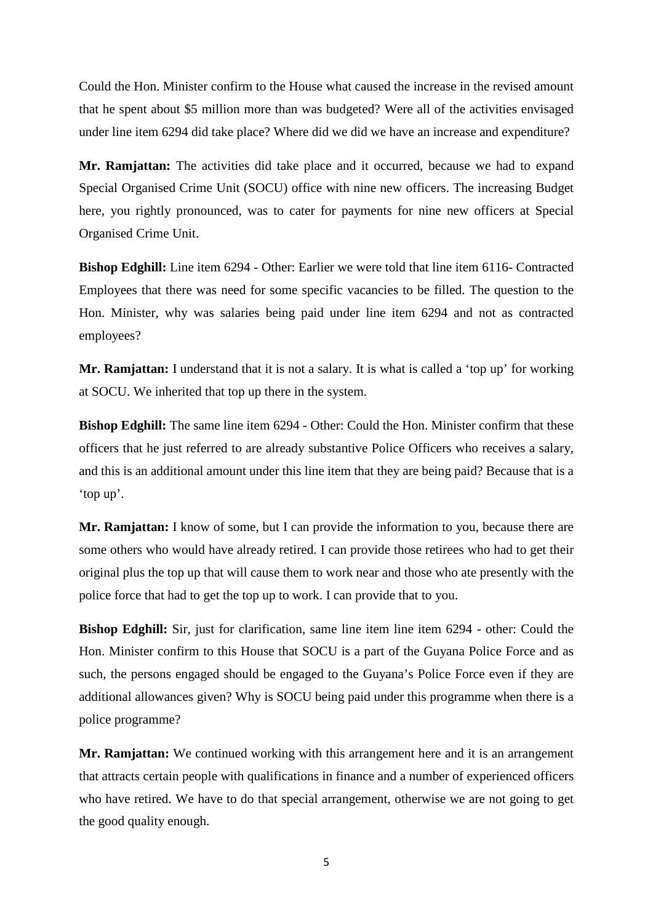Could the Hon. Minister confirm to the House what caused the increase in the revised amount that he spent about \$5 million more than was budgeted? Were all of the activities envisaged under line item 6294 did take place? Where did we did we have an increase and expenditure?

**Mr. Ramjattan:** The activities did take place and it occurred, because we had to expand Special Organised Crime Unit (SOCU) office with nine new officers. The increasing Budget here, you rightly pronounced, was to cater for payments for nine new officers at Special Organised Crime Unit.

**Bishop Edghill:** Line item 6294 - Other: Earlier we were told that line item 6116- Contracted Employees that there was need for some specific vacancies to be filled. The question to the Hon. Minister, why was salaries being paid under line item 6294 and not as contracted employees?

**Mr. Ramjattan:** I understand that it is not a salary. It is what is called a 'top up' for working at SOCU. We inherited that top up there in the system.

**Bishop Edghill:** The same line item 6294 - Other: Could the Hon. Minister confirm that these officers that he just referred to are already substantive Police Officers who receives a salary, and this is an additional amount under this line item that they are being paid? Because that is a 'top up'.

**Mr. Ramjattan:** I know of some, but I can provide the information to you, because there are some others who would have already retired. I can provide those retirees who had to get their original plus the top up that will cause them to work near and those who ate presently with the police force that had to get the top up to work. I can provide that to you.

**Bishop Edghill:** Sir, just for clarification, same line item line item 6294 - other: Could the Hon. Minister confirm to this House that SOCU is a part of the Guyana Police Force and as such, the persons engaged should be engaged to the Guyana's Police Force even if they are additional allowances given? Why is SOCU being paid under this programme when there is a police programme?

**Mr. Ramjattan:** We continued working with this arrangement here and it is an arrangement that attracts certain people with qualifications in finance and a number of experienced officers who have retired. We have to do that special arrangement, otherwise we are not going to get the good quality enough.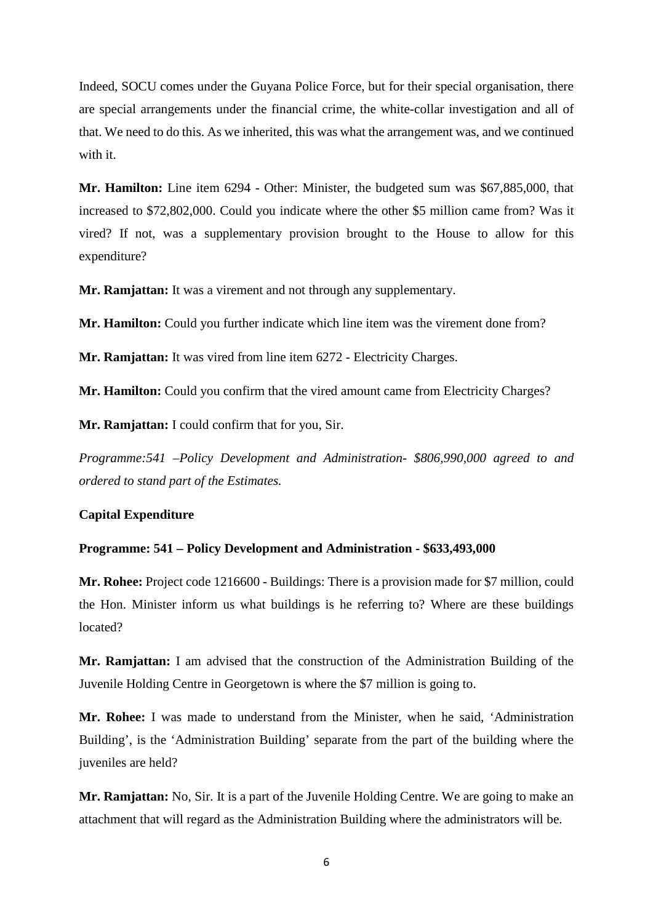Indeed, SOCU comes under the Guyana Police Force, but for their special organisation, there are special arrangements under the financial crime, the white-collar investigation and all of that. We need to do this. As we inherited, this was what the arrangement was, and we continued with it.

**Mr. Hamilton:** Line item 6294 - Other: Minister, the budgeted sum was \$67,885,000, that increased to \$72,802,000. Could you indicate where the other \$5 million came from? Was it vired? If not, was a supplementary provision brought to the House to allow for this expenditure?

**Mr. Ramjattan:** It was a virement and not through any supplementary.

**Mr. Hamilton:** Could you further indicate which line item was the virement done from?

**Mr. Ramjattan:** It was vired from line item 6272 - Electricity Charges.

**Mr. Hamilton:** Could you confirm that the vired amount came from Electricity Charges?

**Mr. Ramjattan:** I could confirm that for you, Sir.

*Programme:541 –Policy Development and Administration- \$806,990,000 agreed to and ordered to stand part of the Estimates.*

#### **Capital Expenditure**

## **Programme: 541 – Policy Development and Administration - \$633,493,000**

**Mr. Rohee:** Project code 1216600 - Buildings: There is a provision made for \$7 million, could the Hon. Minister inform us what buildings is he referring to? Where are these buildings located?

**Mr. Ramjattan:** I am advised that the construction of the Administration Building of the Juvenile Holding Centre in Georgetown is where the \$7 million is going to.

**Mr. Rohee:** I was made to understand from the Minister, when he said, 'Administration Building', is the 'Administration Building' separate from the part of the building where the juveniles are held?

**Mr. Ramjattan:** No, Sir. It is a part of the Juvenile Holding Centre. We are going to make an attachment that will regard as the Administration Building where the administrators will be.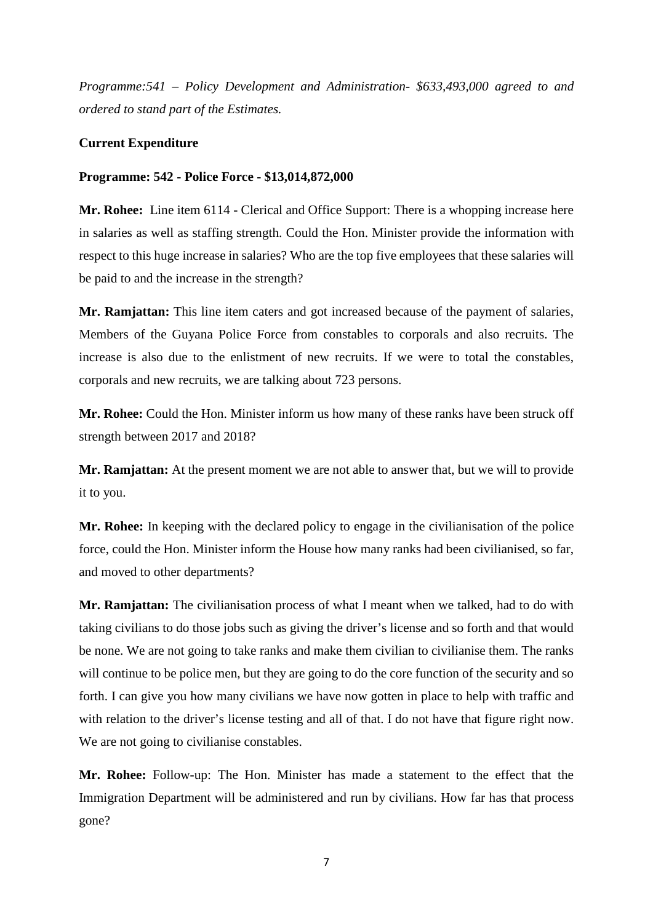*Programme:541 – Policy Development and Administration- \$633,493,000 agreed to and ordered to stand part of the Estimates.*

# **Current Expenditure**

# **Programme: 542 - Police Force - \$13,014,872,000**

**Mr. Rohee:** Line item 6114 - Clerical and Office Support: There is a whopping increase here in salaries as well as staffing strength. Could the Hon. Minister provide the information with respect to this huge increase in salaries? Who are the top five employees that these salaries will be paid to and the increase in the strength?

**Mr. Ramjattan:** This line item caters and got increased because of the payment of salaries, Members of the Guyana Police Force from constables to corporals and also recruits. The increase is also due to the enlistment of new recruits. If we were to total the constables, corporals and new recruits, we are talking about 723 persons.

**Mr. Rohee:** Could the Hon. Minister inform us how many of these ranks have been struck off strength between 2017 and 2018?

**Mr. Ramjattan:** At the present moment we are not able to answer that, but we will to provide it to you.

**Mr. Rohee:** In keeping with the declared policy to engage in the civilianisation of the police force, could the Hon. Minister inform the House how many ranks had been civilianised, so far, and moved to other departments?

**Mr. Ramjattan:** The civilianisation process of what I meant when we talked, had to do with taking civilians to do those jobs such as giving the driver's license and so forth and that would be none. We are not going to take ranks and make them civilian to civilianise them. The ranks will continue to be police men, but they are going to do the core function of the security and so forth. I can give you how many civilians we have now gotten in place to help with traffic and with relation to the driver's license testing and all of that. I do not have that figure right now. We are not going to civilianise constables.

**Mr. Rohee:** Follow-up: The Hon. Minister has made a statement to the effect that the Immigration Department will be administered and run by civilians. How far has that process gone?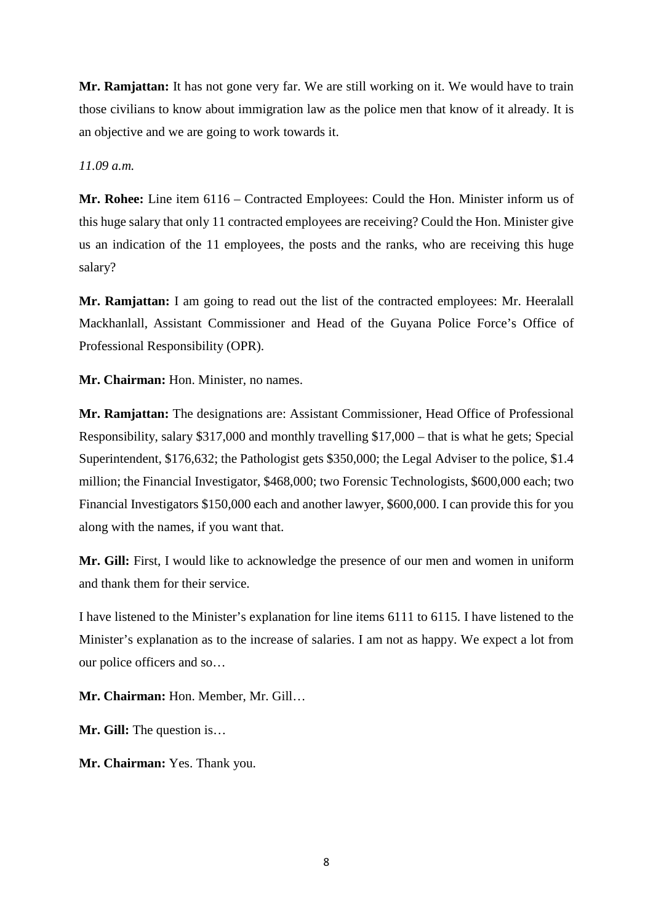**Mr. Ramjattan:** It has not gone very far. We are still working on it. We would have to train those civilians to know about immigration law as the police men that know of it already. It is an objective and we are going to work towards it.

*11.09 a.m.* 

**Mr. Rohee:** Line item 6116 – Contracted Employees: Could the Hon. Minister inform us of this huge salary that only 11 contracted employees are receiving? Could the Hon. Minister give us an indication of the 11 employees, the posts and the ranks, who are receiving this huge salary?

**Mr. Ramjattan:** I am going to read out the list of the contracted employees: Mr. Heeralall Mackhanlall, Assistant Commissioner and Head of the Guyana Police Force's Office of Professional Responsibility (OPR).

**Mr. Chairman:** Hon. Minister, no names.

**Mr. Ramjattan:** The designations are: Assistant Commissioner, Head Office of Professional Responsibility, salary \$317,000 and monthly travelling \$17,000 – that is what he gets; Special Superintendent, \$176,632; the Pathologist gets \$350,000; the Legal Adviser to the police, \$1.4 million; the Financial Investigator, \$468,000; two Forensic Technologists, \$600,000 each; two Financial Investigators \$150,000 each and another lawyer, \$600,000. I can provide this for you along with the names, if you want that.

**Mr. Gill:** First, I would like to acknowledge the presence of our men and women in uniform and thank them for their service.

I have listened to the Minister's explanation for line items 6111 to 6115. I have listened to the Minister's explanation as to the increase of salaries. I am not as happy. We expect a lot from our police officers and so…

**Mr. Chairman:** Hon. Member, Mr. Gill…

**Mr. Gill:** The question is…

**Mr. Chairman:** Yes. Thank you.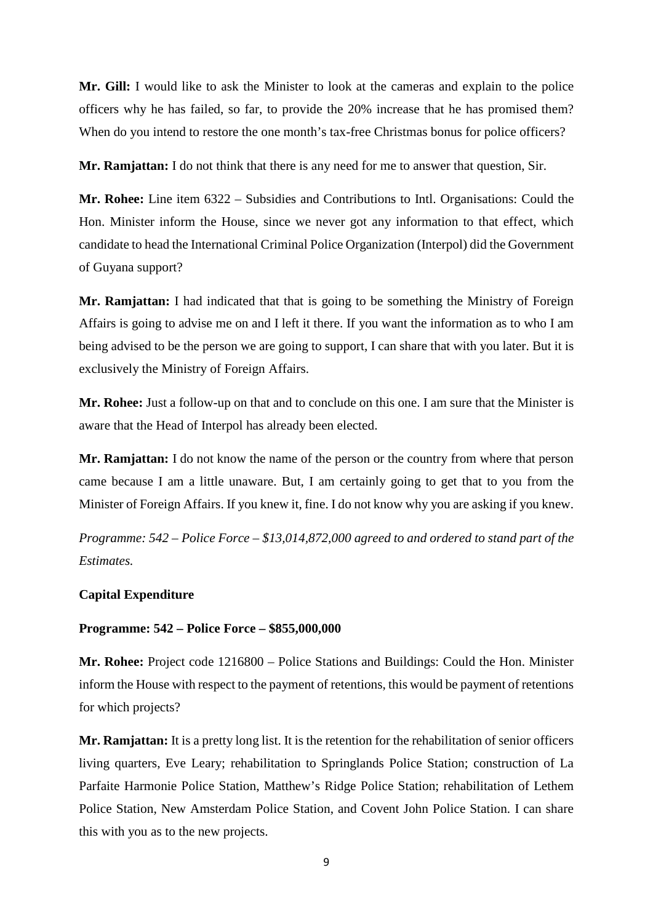**Mr. Gill:** I would like to ask the Minister to look at the cameras and explain to the police officers why he has failed, so far, to provide the 20% increase that he has promised them? When do you intend to restore the one month's tax-free Christmas bonus for police officers?

**Mr. Ramjattan:** I do not think that there is any need for me to answer that question, Sir.

**Mr. Rohee:** Line item 6322 – Subsidies and Contributions to Intl. Organisations: Could the Hon. Minister inform the House, since we never got any information to that effect, which candidate to head the International Criminal Police Organization (Interpol) did the Government of Guyana support?

**Mr. Ramjattan:** I had indicated that that is going to be something the Ministry of Foreign Affairs is going to advise me on and I left it there. If you want the information as to who I am being advised to be the person we are going to support, I can share that with you later. But it is exclusively the Ministry of Foreign Affairs.

**Mr. Rohee:** Just a follow-up on that and to conclude on this one. I am sure that the Minister is aware that the Head of Interpol has already been elected.

**Mr. Ramjattan:** I do not know the name of the person or the country from where that person came because I am a little unaware. But, I am certainly going to get that to you from the Minister of Foreign Affairs. If you knew it, fine. I do not know why you are asking if you knew.

*Programme: 542 – Police Force – \$13,014,872,000 agreed to and ordered to stand part of the Estimates.* 

#### **Capital Expenditure**

#### **Programme: 542 – Police Force – \$855,000,000**

**Mr. Rohee:** Project code 1216800 – Police Stations and Buildings: Could the Hon. Minister inform the House with respect to the payment of retentions, this would be payment of retentions for which projects?

**Mr. Ramjattan:** It is a pretty long list. It is the retention for the rehabilitation of senior officers living quarters, Eve Leary; rehabilitation to Springlands Police Station; construction of La Parfaite Harmonie Police Station, Matthew's Ridge Police Station; rehabilitation of Lethem Police Station, New Amsterdam Police Station, and Covent John Police Station. I can share this with you as to the new projects.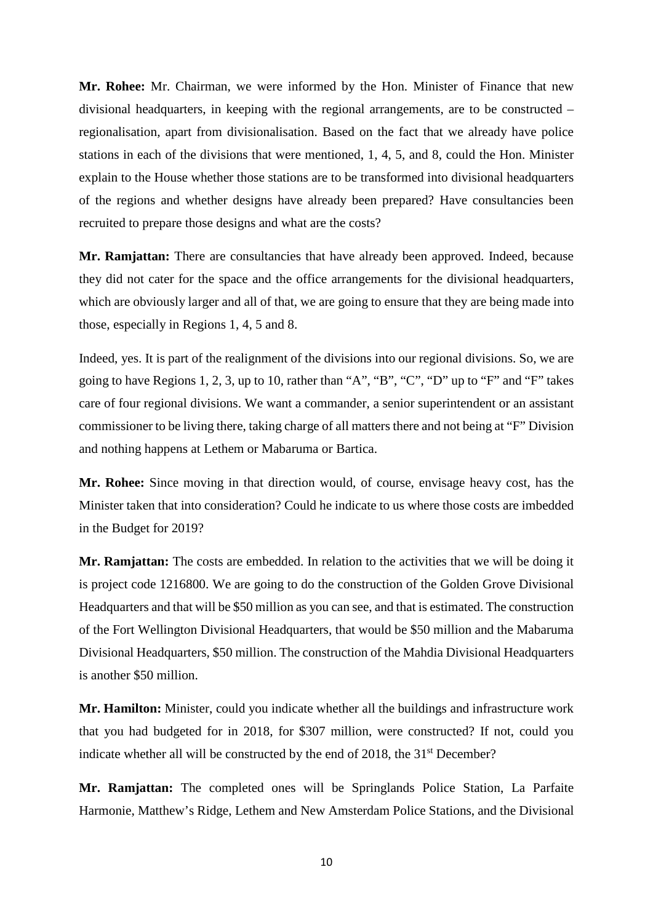**Mr. Rohee:** Mr. Chairman, we were informed by the Hon. Minister of Finance that new divisional headquarters, in keeping with the regional arrangements, are to be constructed – regionalisation, apart from divisionalisation. Based on the fact that we already have police stations in each of the divisions that were mentioned, 1, 4, 5, and 8, could the Hon. Minister explain to the House whether those stations are to be transformed into divisional headquarters of the regions and whether designs have already been prepared? Have consultancies been recruited to prepare those designs and what are the costs?

**Mr. Ramjattan:** There are consultancies that have already been approved. Indeed, because they did not cater for the space and the office arrangements for the divisional headquarters, which are obviously larger and all of that, we are going to ensure that they are being made into those, especially in Regions 1, 4, 5 and 8.

Indeed, yes. It is part of the realignment of the divisions into our regional divisions. So, we are going to have Regions 1, 2, 3, up to 10, rather than "A", "B", "C", "D" up to "F" and "F" takes care of four regional divisions. We want a commander, a senior superintendent or an assistant commissioner to be living there, taking charge of all matters there and not being at "F" Division and nothing happens at Lethem or Mabaruma or Bartica.

**Mr. Rohee:** Since moving in that direction would, of course, envisage heavy cost, has the Minister taken that into consideration? Could he indicate to us where those costs are imbedded in the Budget for 2019?

**Mr. Ramjattan:** The costs are embedded. In relation to the activities that we will be doing it is project code 1216800. We are going to do the construction of the Golden Grove Divisional Headquarters and that will be \$50 million as you can see, and that is estimated. The construction of the Fort Wellington Divisional Headquarters, that would be \$50 million and the Mabaruma Divisional Headquarters, \$50 million. The construction of the Mahdia Divisional Headquarters is another \$50 million.

**Mr. Hamilton:** Minister, could you indicate whether all the buildings and infrastructure work that you had budgeted for in 2018, for \$307 million, were constructed? If not, could you indicate whether all will be constructed by the end of  $2018$ , the  $31<sup>st</sup>$  December?

**Mr. Ramjattan:** The completed ones will be Springlands Police Station, La Parfaite Harmonie, Matthew's Ridge, Lethem and New Amsterdam Police Stations, and the Divisional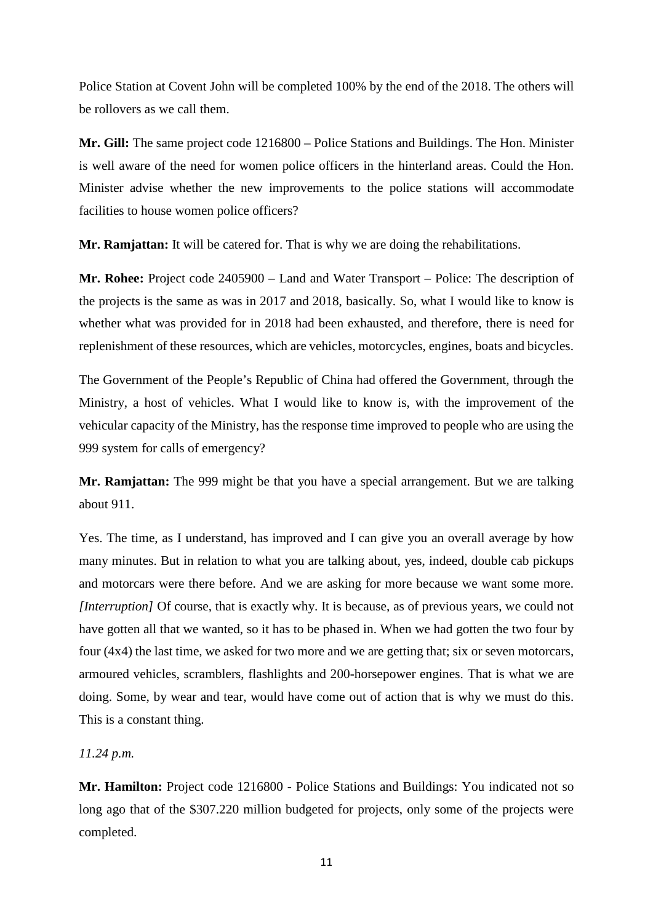Police Station at Covent John will be completed 100% by the end of the 2018. The others will be rollovers as we call them.

**Mr. Gill:** The same project code 1216800 – Police Stations and Buildings. The Hon. Minister is well aware of the need for women police officers in the hinterland areas. Could the Hon. Minister advise whether the new improvements to the police stations will accommodate facilities to house women police officers?

**Mr. Ramjattan:** It will be catered for. That is why we are doing the rehabilitations.

**Mr. Rohee:** Project code 2405900 – Land and Water Transport – Police: The description of the projects is the same as was in 2017 and 2018, basically. So, what I would like to know is whether what was provided for in 2018 had been exhausted, and therefore, there is need for replenishment of these resources, which are vehicles, motorcycles, engines, boats and bicycles.

The Government of the People's Republic of China had offered the Government, through the Ministry, a host of vehicles. What I would like to know is, with the improvement of the vehicular capacity of the Ministry, has the response time improved to people who are using the 999 system for calls of emergency?

**Mr. Ramjattan:** The 999 might be that you have a special arrangement. But we are talking about 911.

Yes. The time, as I understand, has improved and I can give you an overall average by how many minutes. But in relation to what you are talking about, yes, indeed, double cab pickups and motorcars were there before. And we are asking for more because we want some more. *[Interruption]* Of course, that is exactly why. It is because, as of previous years, we could not have gotten all that we wanted, so it has to be phased in. When we had gotten the two four by four (4x4) the last time, we asked for two more and we are getting that; six or seven motorcars, armoured vehicles, scramblers, flashlights and 200-horsepower engines. That is what we are doing. Some, by wear and tear, would have come out of action that is why we must do this. This is a constant thing.

#### *11.24 p.m.*

**Mr. Hamilton:** Project code 1216800 - Police Stations and Buildings: You indicated not so long ago that of the \$307.220 million budgeted for projects, only some of the projects were completed.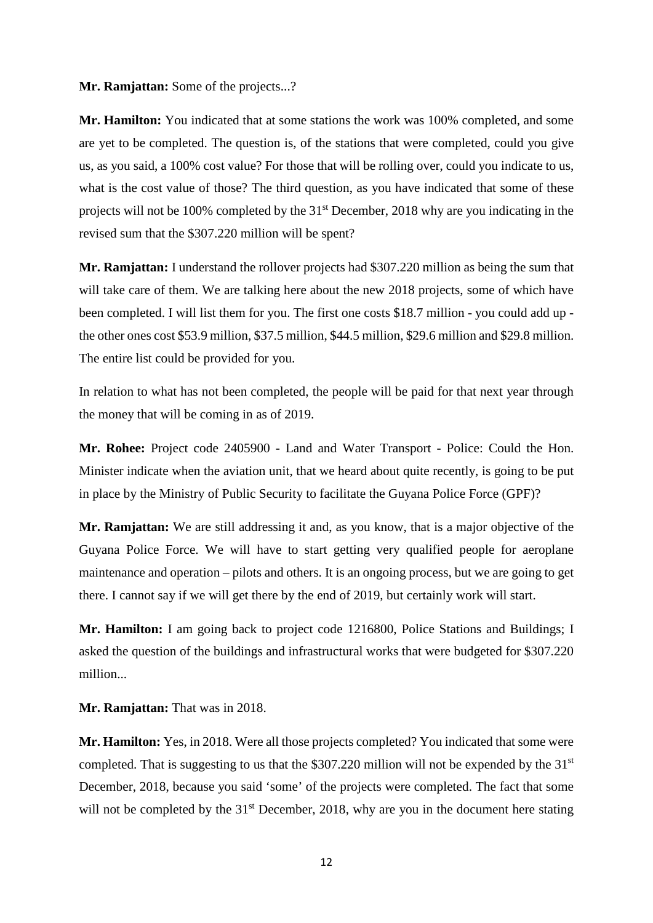#### **Mr. Ramjattan:** Some of the projects...?

**Mr. Hamilton:** You indicated that at some stations the work was 100% completed, and some are yet to be completed. The question is, of the stations that were completed, could you give us, as you said, a 100% cost value? For those that will be rolling over, could you indicate to us, what is the cost value of those? The third question, as you have indicated that some of these projects will not be 100% completed by the 31st December, 2018 why are you indicating in the revised sum that the \$307.220 million will be spent?

**Mr. Ramjattan:** I understand the rollover projects had \$307.220 million as being the sum that will take care of them. We are talking here about the new 2018 projects, some of which have been completed. I will list them for you. The first one costs \$18.7 million - you could add up the other ones cost \$53.9 million, \$37.5 million, \$44.5 million, \$29.6 million and \$29.8 million. The entire list could be provided for you.

In relation to what has not been completed, the people will be paid for that next year through the money that will be coming in as of 2019.

**Mr. Rohee:** Project code 2405900 - Land and Water Transport - Police: Could the Hon. Minister indicate when the aviation unit, that we heard about quite recently, is going to be put in place by the Ministry of Public Security to facilitate the Guyana Police Force (GPF)?

**Mr. Ramjattan:** We are still addressing it and, as you know, that is a major objective of the Guyana Police Force. We will have to start getting very qualified people for aeroplane maintenance and operation – pilots and others. It is an ongoing process, but we are going to get there. I cannot say if we will get there by the end of 2019, but certainly work will start.

**Mr. Hamilton:** I am going back to project code 1216800, Police Stations and Buildings; I asked the question of the buildings and infrastructural works that were budgeted for \$307.220 million...

**Mr. Ramjattan:** That was in 2018.

**Mr. Hamilton:** Yes, in 2018. Were all those projects completed? You indicated that some were completed. That is suggesting to us that the  $$307.220$  million will not be expended by the  $31<sup>st</sup>$ December, 2018, because you said 'some' of the projects were completed. The fact that some will not be completed by the  $31<sup>st</sup>$  December, 2018, why are you in the document here stating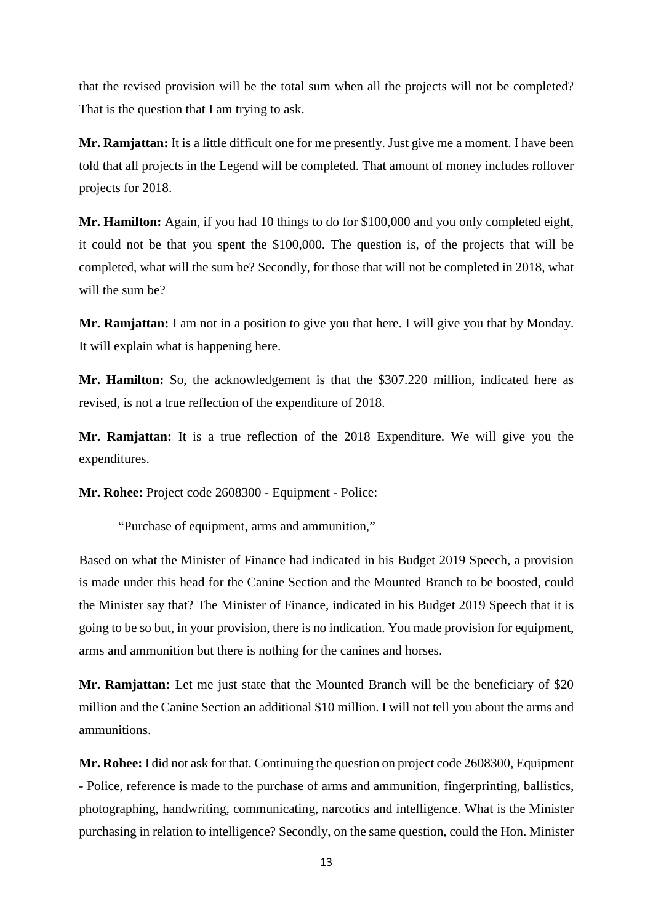that the revised provision will be the total sum when all the projects will not be completed? That is the question that I am trying to ask.

**Mr. Ramjattan:** It is a little difficult one for me presently. Just give me a moment. I have been told that all projects in the Legend will be completed. That amount of money includes rollover projects for 2018.

**Mr. Hamilton:** Again, if you had 10 things to do for \$100,000 and you only completed eight, it could not be that you spent the \$100,000. The question is, of the projects that will be completed, what will the sum be? Secondly, for those that will not be completed in 2018, what will the sum be?

**Mr. Ramjattan:** I am not in a position to give you that here. I will give you that by Monday. It will explain what is happening here.

**Mr. Hamilton:** So, the acknowledgement is that the \$307.220 million, indicated here as revised, is not a true reflection of the expenditure of 2018.

**Mr. Ramjattan:** It is a true reflection of the 2018 Expenditure. We will give you the expenditures.

**Mr. Rohee:** Project code 2608300 - Equipment - Police:

"Purchase of equipment, arms and ammunition,"

Based on what the Minister of Finance had indicated in his Budget 2019 Speech, a provision is made under this head for the Canine Section and the Mounted Branch to be boosted, could the Minister say that? The Minister of Finance, indicated in his Budget 2019 Speech that it is going to be so but, in your provision, there is no indication. You made provision for equipment, arms and ammunition but there is nothing for the canines and horses.

**Mr. Ramjattan:** Let me just state that the Mounted Branch will be the beneficiary of \$20 million and the Canine Section an additional \$10 million. I will not tell you about the arms and ammunitions.

**Mr. Rohee:** I did not ask for that. Continuing the question on project code 2608300, Equipment - Police, reference is made to the purchase of arms and ammunition, fingerprinting, ballistics, photographing, handwriting, communicating, narcotics and intelligence. What is the Minister purchasing in relation to intelligence? Secondly, on the same question, could the Hon. Minister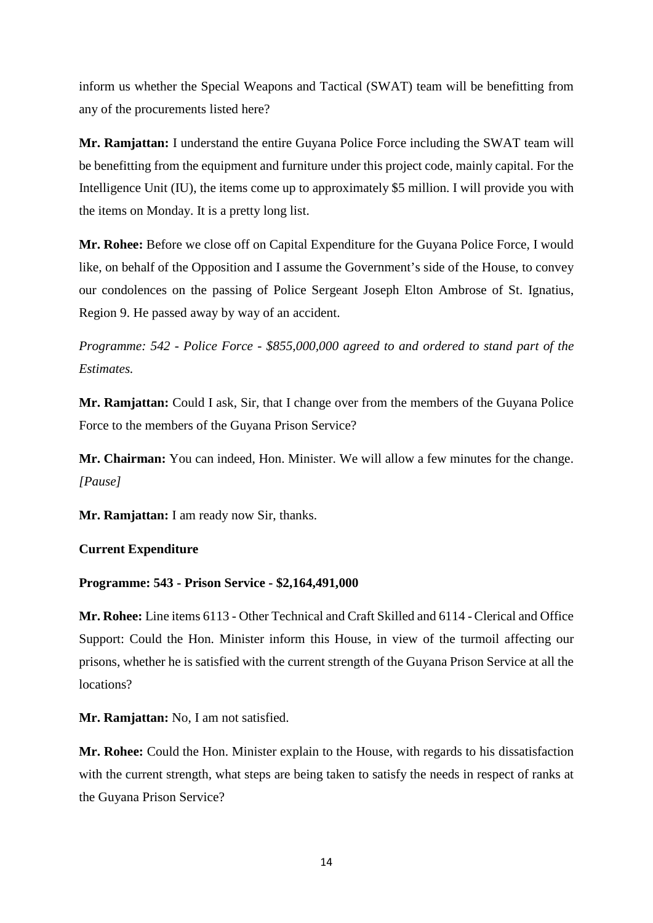inform us whether the Special Weapons and Tactical (SWAT) team will be benefitting from any of the procurements listed here?

**Mr. Ramjattan:** I understand the entire Guyana Police Force including the SWAT team will be benefitting from the equipment and furniture under this project code, mainly capital. For the Intelligence Unit (IU), the items come up to approximately \$5 million. I will provide you with the items on Monday. It is a pretty long list.

**Mr. Rohee:** Before we close off on Capital Expenditure for the Guyana Police Force, I would like, on behalf of the Opposition and I assume the Government's side of the House, to convey our condolences on the passing of Police Sergeant Joseph Elton Ambrose of St. Ignatius, Region 9. He passed away by way of an accident.

*Programme: 542 - Police Force - \$855,000,000 agreed to and ordered to stand part of the Estimates.*

**Mr. Ramjattan:** Could I ask, Sir, that I change over from the members of the Guyana Police Force to the members of the Guyana Prison Service?

**Mr. Chairman:** You can indeed, Hon. Minister. We will allow a few minutes for the change. *[Pause]*

**Mr. Ramjattan:** I am ready now Sir, thanks.

# **Current Expenditure**

# **Programme: 543 - Prison Service - \$2,164,491,000**

**Mr. Rohee:** Line items 6113 - Other Technical and Craft Skilled and 6114 - Clerical and Office Support: Could the Hon. Minister inform this House, in view of the turmoil affecting our prisons, whether he is satisfied with the current strength of the Guyana Prison Service at all the locations?

**Mr. Ramjattan:** No, I am not satisfied.

**Mr. Rohee:** Could the Hon. Minister explain to the House, with regards to his dissatisfaction with the current strength, what steps are being taken to satisfy the needs in respect of ranks at the Guyana Prison Service?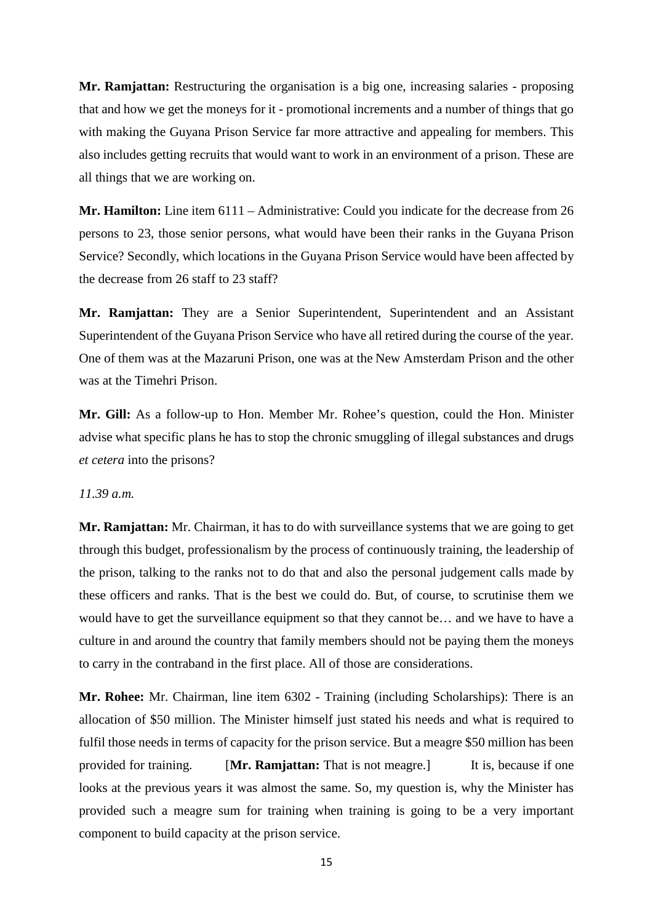**Mr. Ramjattan:** Restructuring the organisation is a big one, increasing salaries - proposing that and how we get the moneys for it - promotional increments and a number of things that go with making the Guyana Prison Service far more attractive and appealing for members. This also includes getting recruits that would want to work in an environment of a prison. These are all things that we are working on.

**Mr. Hamilton:** Line item 6111 – Administrative: Could you indicate for the decrease from 26 persons to 23, those senior persons, what would have been their ranks in the Guyana Prison Service? Secondly, which locations in the Guyana Prison Service would have been affected by the decrease from 26 staff to 23 staff?

**Mr. Ramjattan:** They are a Senior Superintendent, Superintendent and an Assistant Superintendent of the Guyana Prison Service who have all retired during the course of the year. One of them was at the Mazaruni Prison, one was at the New Amsterdam Prison and the other was at the Timehri Prison.

**Mr. Gill:** As a follow-up to Hon. Member Mr. Rohee's question, could the Hon. Minister advise what specific plans he has to stop the chronic smuggling of illegal substances and drugs *et cetera* into the prisons?

## *11.39 a.m.*

**Mr. Ramjattan:** Mr. Chairman, it has to do with surveillance systems that we are going to get through this budget, professionalism by the process of continuously training, the leadership of the prison, talking to the ranks not to do that and also the personal judgement calls made by these officers and ranks. That is the best we could do. But, of course, to scrutinise them we would have to get the surveillance equipment so that they cannot be… and we have to have a culture in and around the country that family members should not be paying them the moneys to carry in the contraband in the first place. All of those are considerations.

**Mr. Rohee:** Mr. Chairman, line item 6302 - Training (including Scholarships): There is an allocation of \$50 million. The Minister himself just stated his needs and what is required to fulfil those needs in terms of capacity for the prison service. But a meagre \$50 million has been provided for training. [**Mr. Ramjattan:** That is not meagre.] It is, because if one looks at the previous years it was almost the same. So, my question is, why the Minister has provided such a meagre sum for training when training is going to be a very important component to build capacity at the prison service.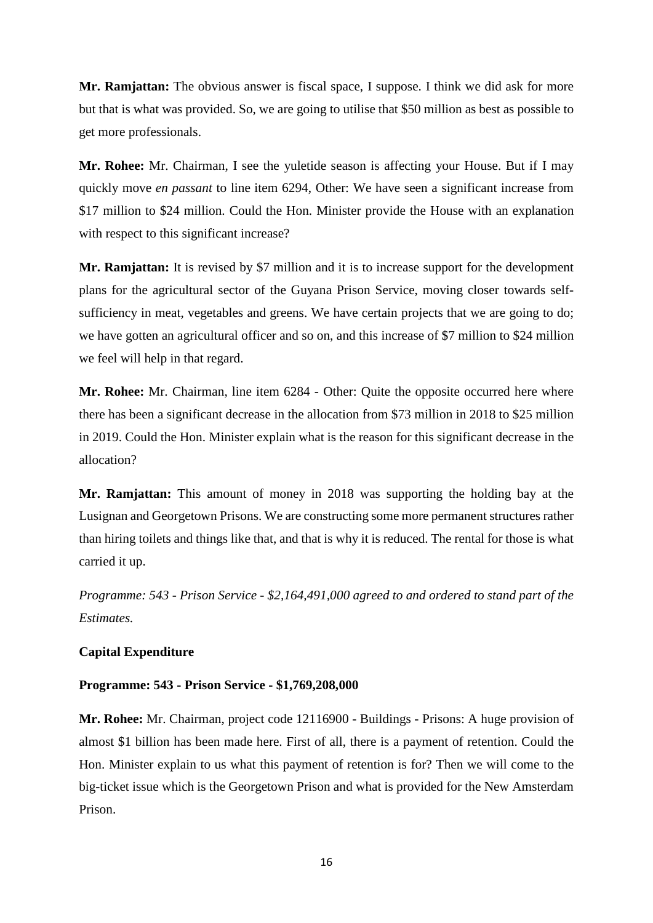**Mr. Ramjattan:** The obvious answer is fiscal space, I suppose. I think we did ask for more but that is what was provided. So, we are going to utilise that \$50 million as best as possible to get more professionals.

**Mr. Rohee:** Mr. Chairman, I see the yuletide season is affecting your House. But if I may quickly move *en passant* to line item 6294, Other: We have seen a significant increase from \$17 million to \$24 million. Could the Hon. Minister provide the House with an explanation with respect to this significant increase?

**Mr. Ramjattan:** It is revised by \$7 million and it is to increase support for the development plans for the agricultural sector of the Guyana Prison Service, moving closer towards selfsufficiency in meat, vegetables and greens. We have certain projects that we are going to do; we have gotten an agricultural officer and so on, and this increase of \$7 million to \$24 million we feel will help in that regard.

**Mr. Rohee:** Mr. Chairman, line item 6284 - Other: Quite the opposite occurred here where there has been a significant decrease in the allocation from \$73 million in 2018 to \$25 million in 2019. Could the Hon. Minister explain what is the reason for this significant decrease in the allocation?

**Mr. Ramjattan:** This amount of money in 2018 was supporting the holding bay at the Lusignan and Georgetown Prisons. We are constructing some more permanent structures rather than hiring toilets and things like that, and that is why it is reduced. The rental for those is what carried it up.

*Programme: 543 - Prison Service - \$2,164,491,000 agreed to and ordered to stand part of the Estimates.* 

#### **Capital Expenditure**

# **Programme: 543 - Prison Service - \$1,769,208,000**

**Mr. Rohee:** Mr. Chairman, project code 12116900 - Buildings - Prisons: A huge provision of almost \$1 billion has been made here. First of all, there is a payment of retention. Could the Hon. Minister explain to us what this payment of retention is for? Then we will come to the big-ticket issue which is the Georgetown Prison and what is provided for the New Amsterdam Prison.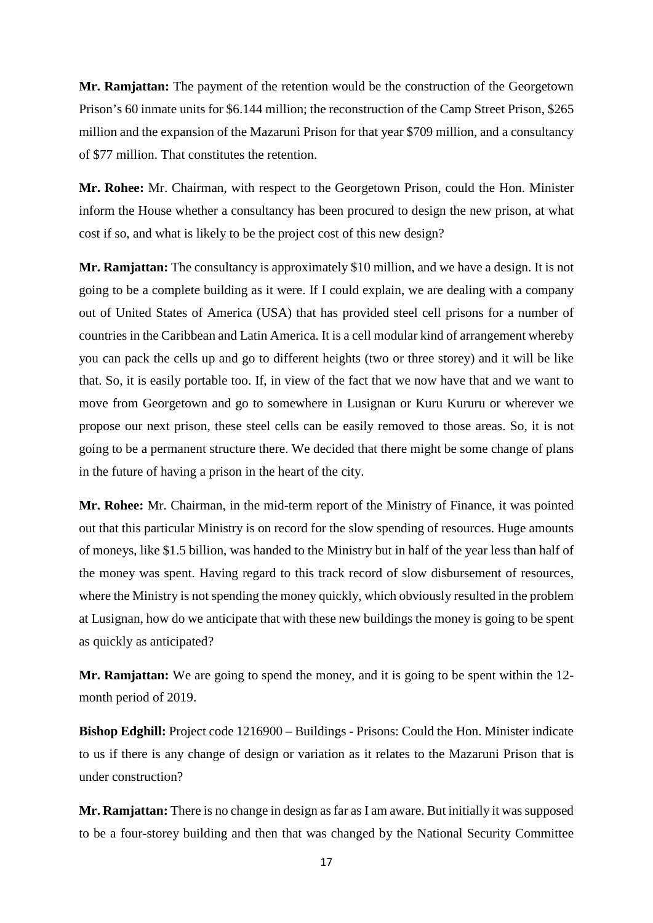**Mr. Ramjattan:** The payment of the retention would be the construction of the Georgetown Prison's 60 inmate units for \$6.144 million; the reconstruction of the Camp Street Prison, \$265 million and the expansion of the Mazaruni Prison for that year \$709 million, and a consultancy of \$77 million. That constitutes the retention.

**Mr. Rohee:** Mr. Chairman, with respect to the Georgetown Prison, could the Hon. Minister inform the House whether a consultancy has been procured to design the new prison, at what cost if so, and what is likely to be the project cost of this new design?

**Mr. Ramjattan:** The consultancy is approximately \$10 million, and we have a design. It is not going to be a complete building as it were. If I could explain, we are dealing with a company out of United States of America (USA) that has provided steel cell prisons for a number of countries in the Caribbean and Latin America. It is a cell modular kind of arrangement whereby you can pack the cells up and go to different heights (two or three storey) and it will be like that. So, it is easily portable too. If, in view of the fact that we now have that and we want to move from Georgetown and go to somewhere in Lusignan or Kuru Kururu or wherever we propose our next prison, these steel cells can be easily removed to those areas. So, it is not going to be a permanent structure there. We decided that there might be some change of plans in the future of having a prison in the heart of the city.

**Mr. Rohee:** Mr. Chairman, in the mid-term report of the Ministry of Finance, it was pointed out that this particular Ministry is on record for the slow spending of resources. Huge amounts of moneys, like \$1.5 billion, was handed to the Ministry but in half of the year less than half of the money was spent. Having regard to this track record of slow disbursement of resources, where the Ministry is not spending the money quickly, which obviously resulted in the problem at Lusignan, how do we anticipate that with these new buildings the money is going to be spent as quickly as anticipated?

**Mr. Ramjattan:** We are going to spend the money, and it is going to be spent within the 12 month period of 2019.

**Bishop Edghill:** Project code 1216900 – Buildings - Prisons: Could the Hon. Minister indicate to us if there is any change of design or variation as it relates to the Mazaruni Prison that is under construction?

**Mr. Ramjattan:** There is no change in design as far as I am aware. But initially it was supposed to be a four-storey building and then that was changed by the National Security Committee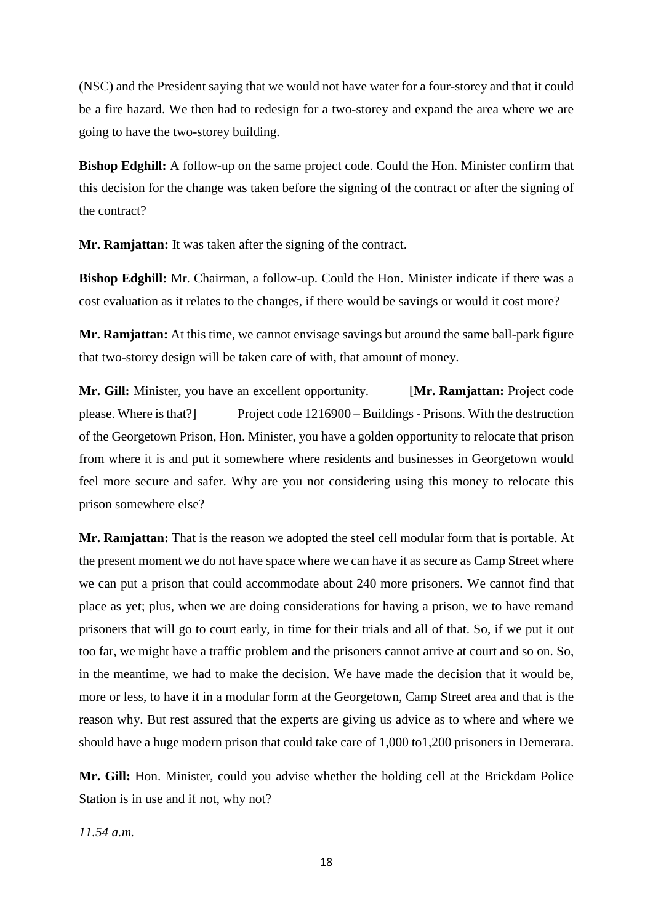(NSC) and the President saying that we would not have water for a four-storey and that it could be a fire hazard. We then had to redesign for a two-storey and expand the area where we are going to have the two-storey building.

**Bishop Edghill:** A follow-up on the same project code. Could the Hon. Minister confirm that this decision for the change was taken before the signing of the contract or after the signing of the contract?

**Mr. Ramjattan:** It was taken after the signing of the contract.

**Bishop Edghill:** Mr. Chairman, a follow-up. Could the Hon. Minister indicate if there was a cost evaluation as it relates to the changes, if there would be savings or would it cost more?

**Mr. Ramjattan:** At this time, we cannot envisage savings but around the same ball-park figure that two-storey design will be taken care of with, that amount of money.

**Mr. Gill:** Minister, you have an excellent opportunity. [**Mr. Ramjattan:** Project code please. Where is that?] Project code 1216900 – Buildings - Prisons. With the destruction of the Georgetown Prison, Hon. Minister, you have a golden opportunity to relocate that prison from where it is and put it somewhere where residents and businesses in Georgetown would feel more secure and safer. Why are you not considering using this money to relocate this prison somewhere else?

**Mr. Ramjattan:** That is the reason we adopted the steel cell modular form that is portable. At the present moment we do not have space where we can have it as secure as Camp Street where we can put a prison that could accommodate about 240 more prisoners. We cannot find that place as yet; plus, when we are doing considerations for having a prison, we to have remand prisoners that will go to court early, in time for their trials and all of that. So, if we put it out too far, we might have a traffic problem and the prisoners cannot arrive at court and so on. So, in the meantime, we had to make the decision. We have made the decision that it would be, more or less, to have it in a modular form at the Georgetown, Camp Street area and that is the reason why. But rest assured that the experts are giving us advice as to where and where we should have a huge modern prison that could take care of 1,000 to1,200 prisoners in Demerara.

**Mr. Gill:** Hon. Minister, could you advise whether the holding cell at the Brickdam Police Station is in use and if not, why not?

*11.54 a.m.*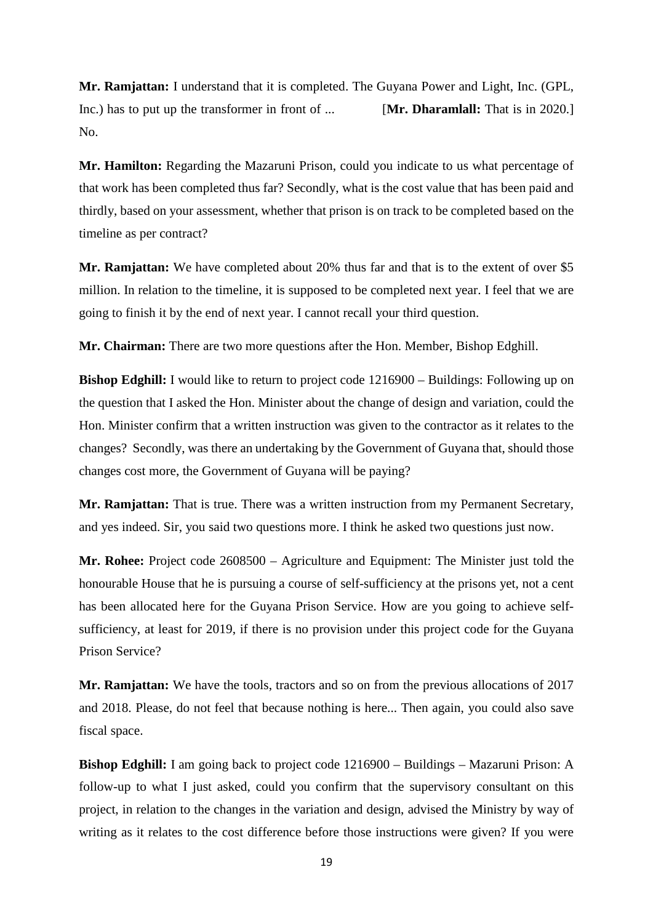**Mr. Ramjattan:** I understand that it is completed. The Guyana Power and Light, Inc. (GPL, Inc.) has to put up the transformer in front of ... [**Mr. Dharamlall:** That is in 2020.] No.

**Mr. Hamilton:** Regarding the Mazaruni Prison, could you indicate to us what percentage of that work has been completed thus far? Secondly, what is the cost value that has been paid and thirdly, based on your assessment, whether that prison is on track to be completed based on the timeline as per contract?

**Mr. Ramjattan:** We have completed about 20% thus far and that is to the extent of over \$5 million. In relation to the timeline, it is supposed to be completed next year. I feel that we are going to finish it by the end of next year. I cannot recall your third question.

**Mr. Chairman:** There are two more questions after the Hon. Member, Bishop Edghill.

**Bishop Edghill:** I would like to return to project code  $1216900 -$  Buildings: Following up on the question that I asked the Hon. Minister about the change of design and variation, could the Hon. Minister confirm that a written instruction was given to the contractor as it relates to the changes? Secondly, was there an undertaking by the Government of Guyana that, should those changes cost more, the Government of Guyana will be paying?

**Mr. Ramjattan:** That is true. There was a written instruction from my Permanent Secretary, and yes indeed. Sir, you said two questions more. I think he asked two questions just now.

**Mr. Rohee:** Project code 2608500 – Agriculture and Equipment: The Minister just told the honourable House that he is pursuing a course of self-sufficiency at the prisons yet, not a cent has been allocated here for the Guyana Prison Service. How are you going to achieve selfsufficiency, at least for 2019, if there is no provision under this project code for the Guyana Prison Service?

**Mr. Ramjattan:** We have the tools, tractors and so on from the previous allocations of 2017 and 2018. Please, do not feel that because nothing is here... Then again, you could also save fiscal space.

**Bishop Edghill:** I am going back to project code 1216900 – Buildings – Mazaruni Prison: A follow-up to what I just asked, could you confirm that the supervisory consultant on this project, in relation to the changes in the variation and design, advised the Ministry by way of writing as it relates to the cost difference before those instructions were given? If you were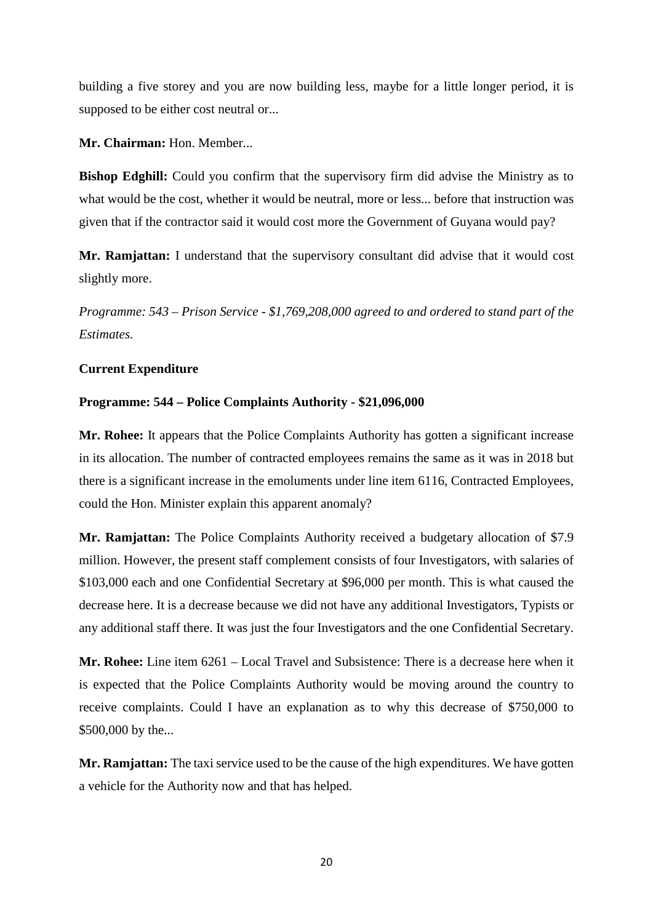building a five storey and you are now building less, maybe for a little longer period, it is supposed to be either cost neutral or...

**Mr. Chairman:** Hon. Member...

**Bishop Edghill:** Could you confirm that the supervisory firm did advise the Ministry as to what would be the cost, whether it would be neutral, more or less... before that instruction was given that if the contractor said it would cost more the Government of Guyana would pay?

**Mr. Ramjattan:** I understand that the supervisory consultant did advise that it would cost slightly more.

*Programme: 543 – Prison Service - \$1,769,208,000 agreed to and ordered to stand part of the Estimates.*

# **Current Expenditure**

# **Programme: 544 – Police Complaints Authority - \$21,096,000**

**Mr. Rohee:** It appears that the Police Complaints Authority has gotten a significant increase in its allocation. The number of contracted employees remains the same as it was in 2018 but there is a significant increase in the emoluments under line item 6116, Contracted Employees, could the Hon. Minister explain this apparent anomaly?

**Mr. Ramjattan:** The Police Complaints Authority received a budgetary allocation of \$7.9 million. However, the present staff complement consists of four Investigators, with salaries of \$103,000 each and one Confidential Secretary at \$96,000 per month. This is what caused the decrease here. It is a decrease because we did not have any additional Investigators, Typists or any additional staff there. It was just the four Investigators and the one Confidential Secretary.

**Mr. Rohee:** Line item 6261 – Local Travel and Subsistence: There is a decrease here when it is expected that the Police Complaints Authority would be moving around the country to receive complaints. Could I have an explanation as to why this decrease of \$750,000 to \$500,000 by the...

**Mr. Ramjattan:** The taxi service used to be the cause of the high expenditures. We have gotten a vehicle for the Authority now and that has helped.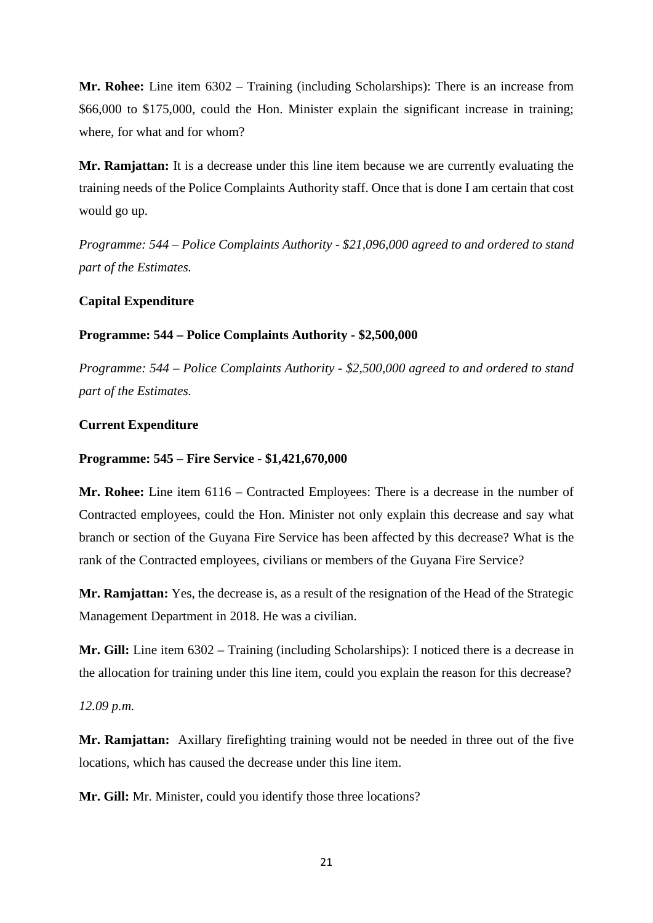**Mr. Rohee:** Line item 6302 – Training (including Scholarships): There is an increase from \$66,000 to \$175,000, could the Hon. Minister explain the significant increase in training; where, for what and for whom?

**Mr. Ramjattan:** It is a decrease under this line item because we are currently evaluating the training needs of the Police Complaints Authority staff. Once that is done I am certain that cost would go up.

*Programme: 544 – Police Complaints Authority - \$21,096,000 agreed to and ordered to stand part of the Estimates.*

#### **Capital Expenditure**

#### **Programme: 544 – Police Complaints Authority - \$2,500,000**

*Programme: 544 – Police Complaints Authority - \$2,500,000 agreed to and ordered to stand part of the Estimates.*

#### **Current Expenditure**

#### **Programme: 545 – Fire Service - \$1,421,670,000**

**Mr. Rohee:** Line item 6116 – Contracted Employees: There is a decrease in the number of Contracted employees, could the Hon. Minister not only explain this decrease and say what branch or section of the Guyana Fire Service has been affected by this decrease? What is the rank of the Contracted employees, civilians or members of the Guyana Fire Service?

**Mr. Ramjattan:** Yes, the decrease is, as a result of the resignation of the Head of the Strategic Management Department in 2018. He was a civilian.

**Mr. Gill:** Line item 6302 – Training (including Scholarships): I noticed there is a decrease in the allocation for training under this line item, could you explain the reason for this decrease?

#### *12.09 p.m.*

**Mr. Ramjattan:** Axillary firefighting training would not be needed in three out of the five locations, which has caused the decrease under this line item.

**Mr. Gill:** Mr. Minister, could you identify those three locations?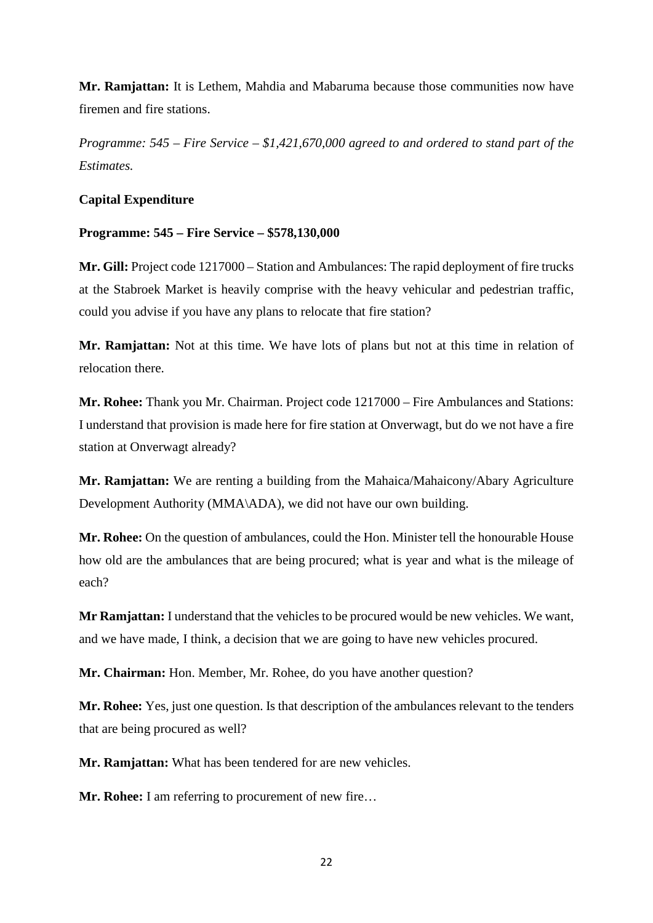**Mr. Ramjattan:** It is Lethem, Mahdia and Mabaruma because those communities now have firemen and fire stations.

*Programme: 545 – Fire Service – \$1,421,670,000 agreed to and ordered to stand part of the Estimates.*

# **Capital Expenditure**

# **Programme: 545 – Fire Service – \$578,130,000**

**Mr. Gill:** Project code 1217000 – Station and Ambulances: The rapid deployment of fire trucks at the Stabroek Market is heavily comprise with the heavy vehicular and pedestrian traffic, could you advise if you have any plans to relocate that fire station?

**Mr. Ramjattan:** Not at this time. We have lots of plans but not at this time in relation of relocation there.

**Mr. Rohee:** Thank you Mr. Chairman. Project code 1217000 – Fire Ambulances and Stations: I understand that provision is made here for fire station at Onverwagt, but do we not have a fire station at Onverwagt already?

**Mr. Ramjattan:** We are renting a building from the Mahaica/Mahaicony/Abary Agriculture Development Authority (MMA\ADA), we did not have our own building.

**Mr. Rohee:** On the question of ambulances, could the Hon. Minister tell the honourable House how old are the ambulances that are being procured; what is year and what is the mileage of each?

**Mr Ramjattan:** I understand that the vehicles to be procured would be new vehicles. We want, and we have made, I think, a decision that we are going to have new vehicles procured.

**Mr. Chairman:** Hon. Member, Mr. Rohee, do you have another question?

**Mr. Rohee:** Yes, just one question. Is that description of the ambulances relevant to the tenders that are being procured as well?

**Mr. Ramjattan:** What has been tendered for are new vehicles.

**Mr. Rohee:** I am referring to procurement of new fire…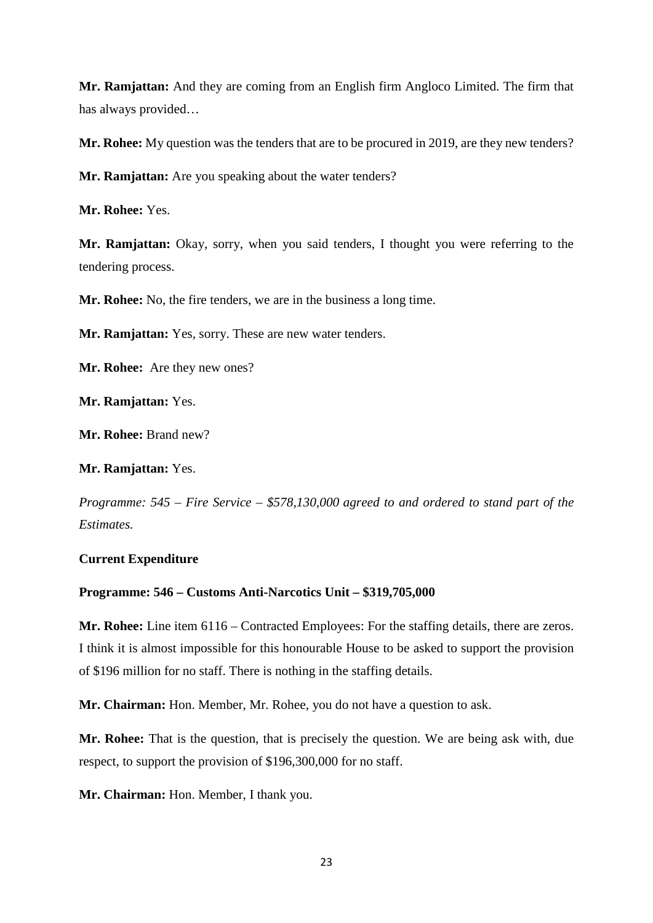**Mr. Ramjattan:** And they are coming from an English firm Angloco Limited. The firm that has always provided…

**Mr. Rohee:** My question was the tenders that are to be procured in 2019, are they new tenders?

**Mr. Ramjattan:** Are you speaking about the water tenders?

**Mr. Rohee:** Yes.

**Mr. Ramjattan:** Okay, sorry, when you said tenders, I thought you were referring to the tendering process.

**Mr. Rohee:** No, the fire tenders, we are in the business a long time.

**Mr. Ramjattan:** Yes, sorry. These are new water tenders.

**Mr. Rohee:** Are they new ones?

**Mr. Ramjattan:** Yes.

**Mr. Rohee:** Brand new?

**Mr. Ramjattan:** Yes.

*Programme: 545 – Fire Service – \$578,130,000 agreed to and ordered to stand part of the Estimates.*

#### **Current Expenditure**

#### **Programme: 546 – Customs Anti-Narcotics Unit – \$319,705,000**

**Mr. Rohee:** Line item 6116 – Contracted Employees: For the staffing details, there are zeros. I think it is almost impossible for this honourable House to be asked to support the provision of \$196 million for no staff. There is nothing in the staffing details.

**Mr. Chairman:** Hon. Member, Mr. Rohee, you do not have a question to ask.

**Mr. Rohee:** That is the question, that is precisely the question. We are being ask with, due respect, to support the provision of \$196,300,000 for no staff.

**Mr. Chairman:** Hon. Member, I thank you.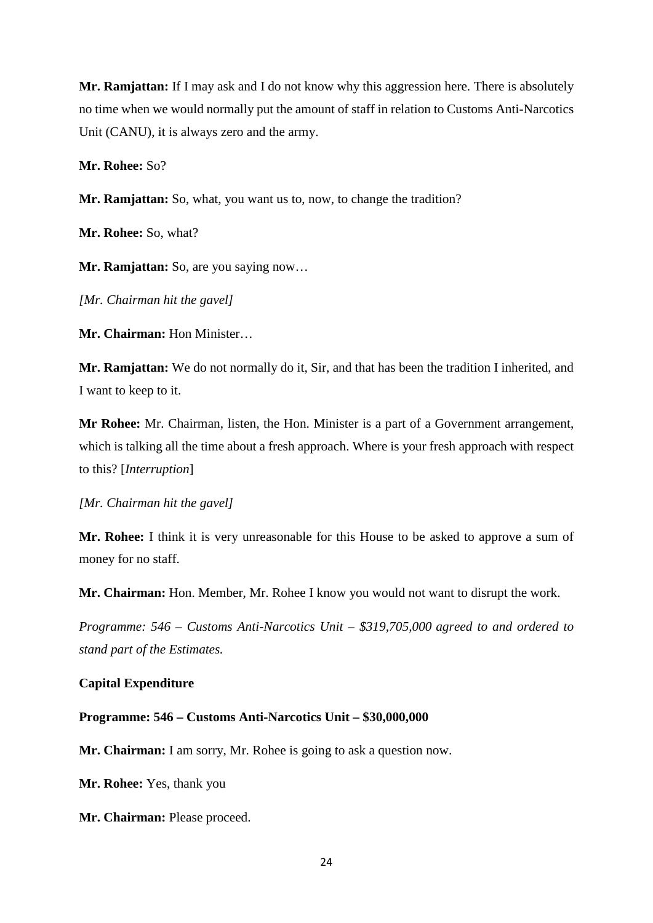**Mr. Ramjattan:** If I may ask and I do not know why this aggression here. There is absolutely no time when we would normally put the amount of staff in relation to Customs Anti-Narcotics Unit (CANU), it is always zero and the army.

**Mr. Rohee:** So?

**Mr. Ramjattan:** So, what, you want us to, now, to change the tradition?

**Mr. Rohee:** So, what?

**Mr. Ramjattan:** So, are you saying now…

*[Mr. Chairman hit the gavel]*

**Mr. Chairman:** Hon Minister…

**Mr. Ramjattan:** We do not normally do it, Sir, and that has been the tradition I inherited, and I want to keep to it.

**Mr Rohee:** Mr. Chairman, listen, the Hon. Minister is a part of a Government arrangement, which is talking all the time about a fresh approach. Where is your fresh approach with respect to this? [*Interruption*]

*[Mr. Chairman hit the gavel]*

**Mr. Rohee:** I think it is very unreasonable for this House to be asked to approve a sum of money for no staff.

**Mr. Chairman:** Hon. Member, Mr. Rohee I know you would not want to disrupt the work.

*Programme: 546 – Customs Anti-Narcotics Unit – \$319,705,000 agreed to and ordered to stand part of the Estimates.*

#### **Capital Expenditure**

**Programme: 546 – Customs Anti-Narcotics Unit – \$30,000,000** 

**Mr. Chairman:** I am sorry, Mr. Rohee is going to ask a question now.

**Mr. Rohee:** Yes, thank you

**Mr. Chairman:** Please proceed.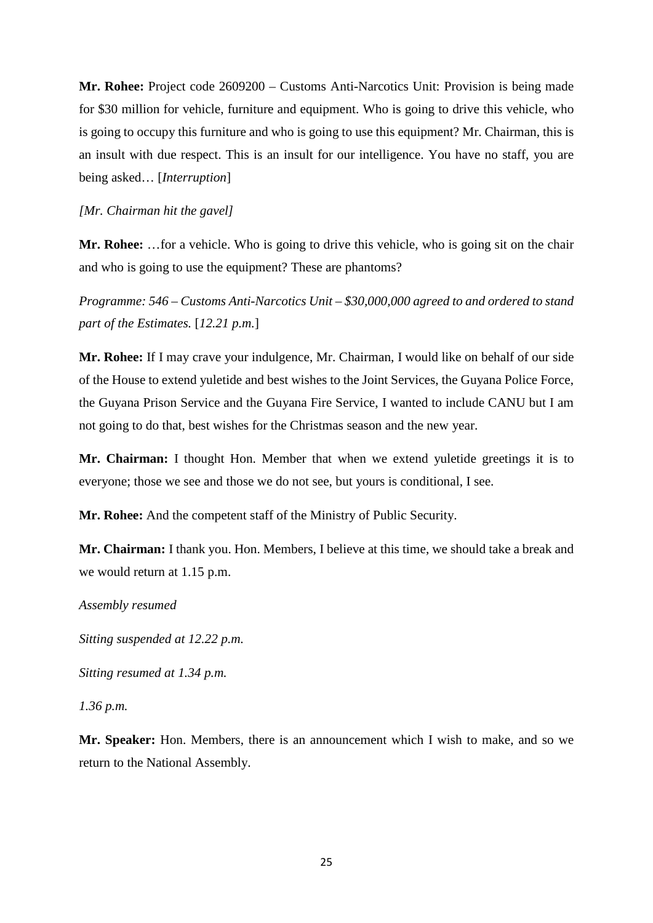**Mr. Rohee:** Project code 2609200 – Customs Anti-Narcotics Unit: Provision is being made for \$30 million for vehicle, furniture and equipment. Who is going to drive this vehicle, who is going to occupy this furniture and who is going to use this equipment? Mr. Chairman, this is an insult with due respect. This is an insult for our intelligence. You have no staff, you are being asked… [*Interruption*]

*[Mr. Chairman hit the gavel]*

**Mr. Rohee:** …for a vehicle. Who is going to drive this vehicle, who is going sit on the chair and who is going to use the equipment? These are phantoms?

*Programme: 546 – Customs Anti-Narcotics Unit – \$30,000,000 agreed to and ordered to stand part of the Estimates.* [*12.21 p.m.*]

**Mr. Rohee:** If I may crave your indulgence, Mr. Chairman, I would like on behalf of our side of the House to extend yuletide and best wishes to the Joint Services, the Guyana Police Force, the Guyana Prison Service and the Guyana Fire Service, I wanted to include CANU but I am not going to do that, best wishes for the Christmas season and the new year.

**Mr. Chairman:** I thought Hon. Member that when we extend yuletide greetings it is to everyone; those we see and those we do not see, but yours is conditional, I see.

**Mr. Rohee:** And the competent staff of the Ministry of Public Security.

**Mr. Chairman:** I thank you. Hon. Members, I believe at this time, we should take a break and we would return at 1.15 p.m.

*Assembly resumed* 

*Sitting suspended at 12.22 p.m.* 

*Sitting resumed at 1.34 p.m.*

*1.36 p.m.*

**Mr. Speaker:** Hon. Members, there is an announcement which I wish to make, and so we return to the National Assembly.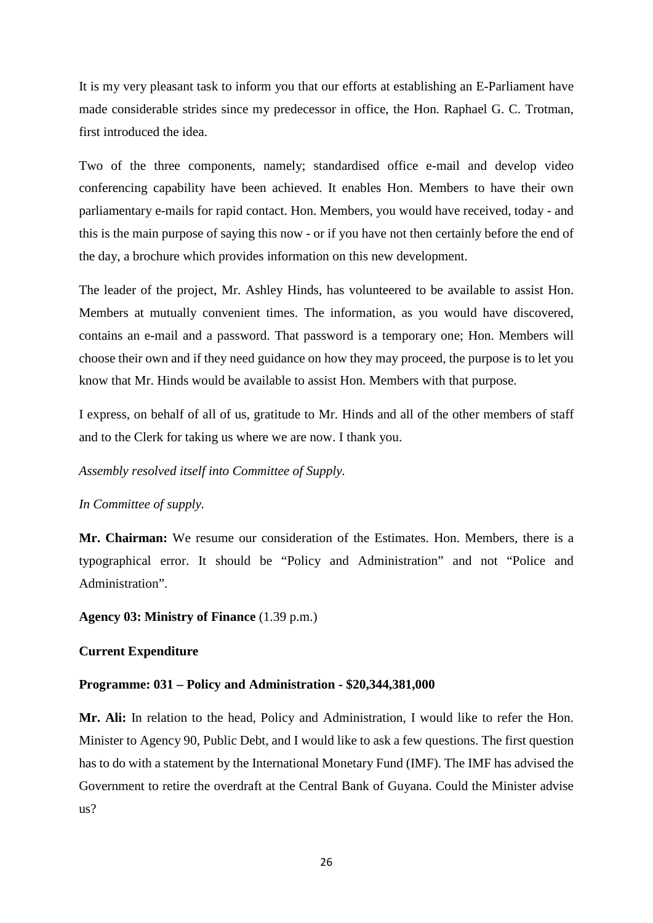It is my very pleasant task to inform you that our efforts at establishing an E-Parliament have made considerable strides since my predecessor in office, the Hon. Raphael G. C. Trotman, first introduced the idea.

Two of the three components, namely; standardised office e-mail and develop video conferencing capability have been achieved. It enables Hon. Members to have their own parliamentary e-mails for rapid contact. Hon. Members, you would have received, today - and this is the main purpose of saying this now - or if you have not then certainly before the end of the day, a brochure which provides information on this new development.

The leader of the project, Mr. Ashley Hinds, has volunteered to be available to assist Hon. Members at mutually convenient times. The information, as you would have discovered, contains an e-mail and a password. That password is a temporary one; Hon. Members will choose their own and if they need guidance on how they may proceed, the purpose is to let you know that Mr. Hinds would be available to assist Hon. Members with that purpose.

I express, on behalf of all of us, gratitude to Mr. Hinds and all of the other members of staff and to the Clerk for taking us where we are now. I thank you.

*Assembly resolved itself into Committee of Supply.* 

*In Committee of supply.* 

**Mr. Chairman:** We resume our consideration of the Estimates. Hon. Members, there is a typographical error. It should be "Policy and Administration" and not "Police and Administration".

**Agency 03: Ministry of Finance** (1.39 p.m.)

#### **Current Expenditure**

#### **Programme: 031 – Policy and Administration - \$20,344,381,000**

**Mr. Ali:** In relation to the head, Policy and Administration, I would like to refer the Hon. Minister to Agency 90, Public Debt, and I would like to ask a few questions. The first question has to do with a statement by the International Monetary Fund (IMF). The IMF has advised the Government to retire the overdraft at the Central Bank of Guyana. Could the Minister advise us?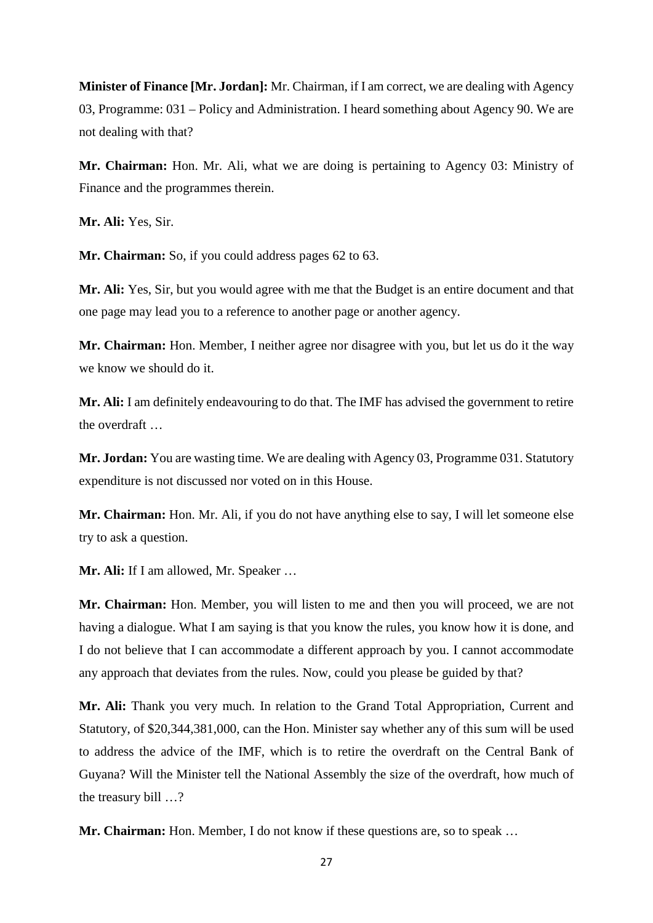**Minister of Finance [Mr. Jordan]:** Mr. Chairman, if I am correct, we are dealing with Agency 03, Programme: 031 – Policy and Administration. I heard something about Agency 90. We are not dealing with that?

**Mr. Chairman:** Hon. Mr. Ali, what we are doing is pertaining to Agency 03: Ministry of Finance and the programmes therein.

**Mr. Ali:** Yes, Sir.

**Mr. Chairman:** So, if you could address pages 62 to 63.

**Mr. Ali:** Yes, Sir, but you would agree with me that the Budget is an entire document and that one page may lead you to a reference to another page or another agency.

**Mr. Chairman:** Hon. Member, I neither agree nor disagree with you, but let us do it the way we know we should do it.

**Mr. Ali:** I am definitely endeavouring to do that. The IMF has advised the government to retire the overdraft …

**Mr. Jordan:** You are wasting time. We are dealing with Agency 03, Programme 031. Statutory expenditure is not discussed nor voted on in this House.

**Mr. Chairman:** Hon. Mr. Ali, if you do not have anything else to say, I will let someone else try to ask a question.

**Mr. Ali:** If I am allowed, Mr. Speaker …

**Mr. Chairman:** Hon. Member, you will listen to me and then you will proceed, we are not having a dialogue. What I am saying is that you know the rules, you know how it is done, and I do not believe that I can accommodate a different approach by you. I cannot accommodate any approach that deviates from the rules. Now, could you please be guided by that?

**Mr. Ali:** Thank you very much. In relation to the Grand Total Appropriation, Current and Statutory, of \$20,344,381,000, can the Hon. Minister say whether any of this sum will be used to address the advice of the IMF, which is to retire the overdraft on the Central Bank of Guyana? Will the Minister tell the National Assembly the size of the overdraft, how much of the treasury bill …?

**Mr. Chairman:** Hon. Member, I do not know if these questions are, so to speak …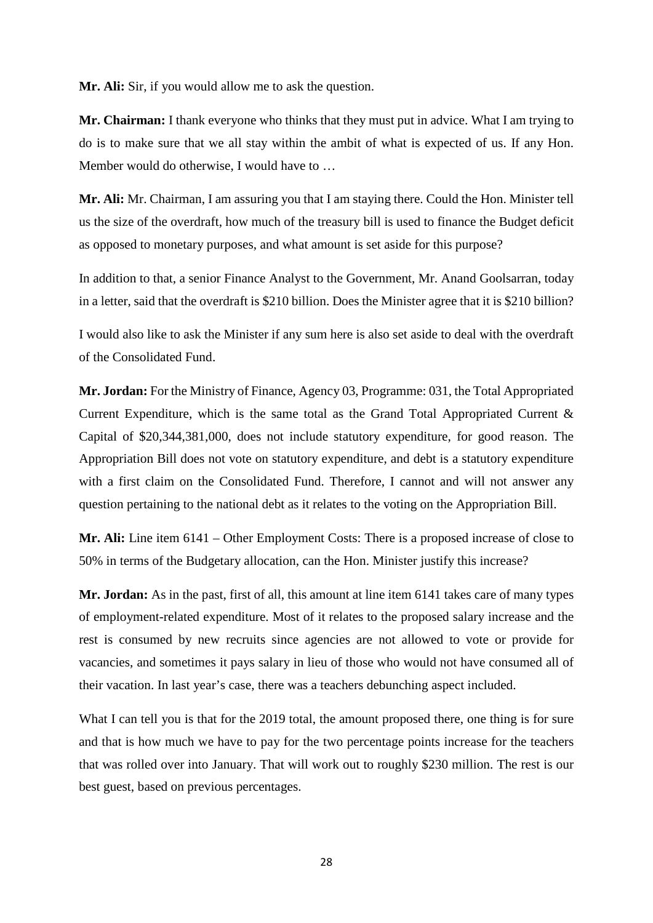**Mr. Ali:** Sir, if you would allow me to ask the question.

**Mr. Chairman:** I thank everyone who thinks that they must put in advice. What I am trying to do is to make sure that we all stay within the ambit of what is expected of us. If any Hon. Member would do otherwise, I would have to …

**Mr. Ali:** Mr. Chairman, I am assuring you that I am staying there. Could the Hon. Minister tell us the size of the overdraft, how much of the treasury bill is used to finance the Budget deficit as opposed to monetary purposes, and what amount is set aside for this purpose?

In addition to that, a senior Finance Analyst to the Government, Mr. Anand Goolsarran, today in a letter, said that the overdraft is \$210 billion. Does the Minister agree that it is \$210 billion?

I would also like to ask the Minister if any sum here is also set aside to deal with the overdraft of the Consolidated Fund.

**Mr. Jordan:** For the Ministry of Finance, Agency 03, Programme: 031, the Total Appropriated Current Expenditure, which is the same total as the Grand Total Appropriated Current & Capital of \$20,344,381,000, does not include statutory expenditure, for good reason. The Appropriation Bill does not vote on statutory expenditure, and debt is a statutory expenditure with a first claim on the Consolidated Fund. Therefore, I cannot and will not answer any question pertaining to the national debt as it relates to the voting on the Appropriation Bill.

**Mr. Ali:** Line item 6141 – Other Employment Costs: There is a proposed increase of close to 50% in terms of the Budgetary allocation, can the Hon. Minister justify this increase?

**Mr. Jordan:** As in the past, first of all, this amount at line item 6141 takes care of many types of employment-related expenditure. Most of it relates to the proposed salary increase and the rest is consumed by new recruits since agencies are not allowed to vote or provide for vacancies, and sometimes it pays salary in lieu of those who would not have consumed all of their vacation. In last year's case, there was a teachers debunching aspect included.

What I can tell you is that for the 2019 total, the amount proposed there, one thing is for sure and that is how much we have to pay for the two percentage points increase for the teachers that was rolled over into January. That will work out to roughly \$230 million. The rest is our best guest, based on previous percentages.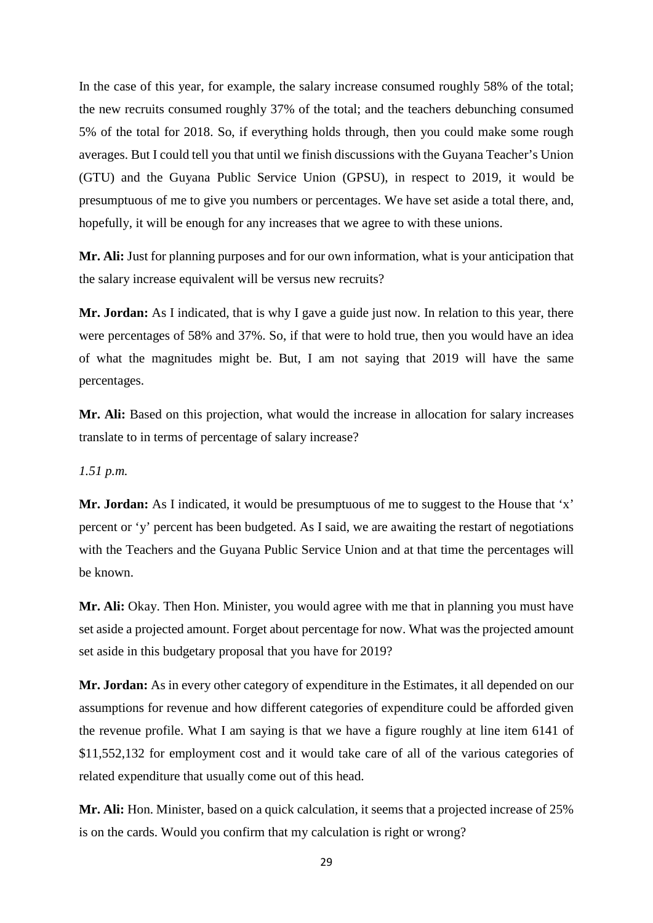In the case of this year, for example, the salary increase consumed roughly 58% of the total; the new recruits consumed roughly 37% of the total; and the teachers debunching consumed 5% of the total for 2018. So, if everything holds through, then you could make some rough averages. But I could tell you that until we finish discussions with the Guyana Teacher's Union (GTU) and the Guyana Public Service Union (GPSU), in respect to 2019, it would be presumptuous of me to give you numbers or percentages. We have set aside a total there, and, hopefully, it will be enough for any increases that we agree to with these unions.

**Mr. Ali:** Just for planning purposes and for our own information, what is your anticipation that the salary increase equivalent will be versus new recruits?

Mr. Jordan: As I indicated, that is why I gave a guide just now. In relation to this year, there were percentages of 58% and 37%. So, if that were to hold true, then you would have an idea of what the magnitudes might be. But, I am not saying that 2019 will have the same percentages.

Mr. Ali: Based on this projection, what would the increase in allocation for salary increases translate to in terms of percentage of salary increase?

#### *1.51 p.m.*

**Mr. Jordan:** As I indicated, it would be presumptuous of me to suggest to the House that 'x' percent or 'y' percent has been budgeted. As I said, we are awaiting the restart of negotiations with the Teachers and the Guyana Public Service Union and at that time the percentages will be known.

**Mr. Ali:** Okay. Then Hon. Minister, you would agree with me that in planning you must have set aside a projected amount. Forget about percentage for now. What was the projected amount set aside in this budgetary proposal that you have for 2019?

**Mr. Jordan:** As in every other category of expenditure in the Estimates, it all depended on our assumptions for revenue and how different categories of expenditure could be afforded given the revenue profile. What I am saying is that we have a figure roughly at line item 6141 of \$11,552,132 for employment cost and it would take care of all of the various categories of related expenditure that usually come out of this head.

**Mr. Ali:** Hon. Minister, based on a quick calculation, it seems that a projected increase of 25% is on the cards. Would you confirm that my calculation is right or wrong?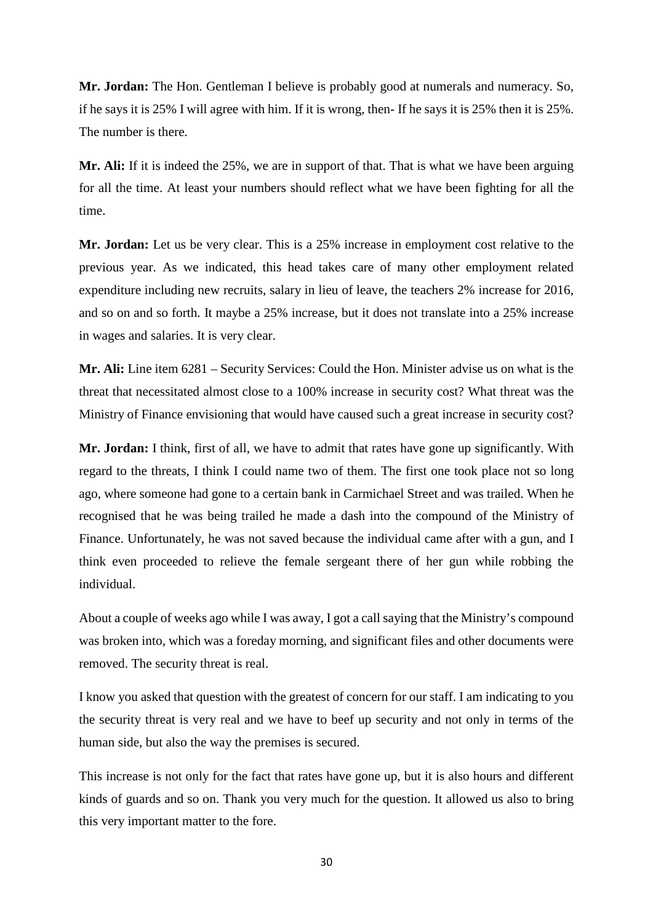**Mr. Jordan:** The Hon. Gentleman I believe is probably good at numerals and numeracy. So, if he says it is 25% I will agree with him. If it is wrong, then- If he says it is 25% then it is 25%. The number is there.

**Mr. Ali:** If it is indeed the 25%, we are in support of that. That is what we have been arguing for all the time. At least your numbers should reflect what we have been fighting for all the time.

**Mr. Jordan:** Let us be very clear. This is a 25% increase in employment cost relative to the previous year. As we indicated, this head takes care of many other employment related expenditure including new recruits, salary in lieu of leave, the teachers 2% increase for 2016, and so on and so forth. It maybe a 25% increase, but it does not translate into a 25% increase in wages and salaries. It is very clear.

**Mr. Ali:** Line item 6281 – Security Services: Could the Hon. Minister advise us on what is the threat that necessitated almost close to a 100% increase in security cost? What threat was the Ministry of Finance envisioning that would have caused such a great increase in security cost?

**Mr. Jordan:** I think, first of all, we have to admit that rates have gone up significantly. With regard to the threats, I think I could name two of them. The first one took place not so long ago, where someone had gone to a certain bank in Carmichael Street and was trailed. When he recognised that he was being trailed he made a dash into the compound of the Ministry of Finance. Unfortunately, he was not saved because the individual came after with a gun, and I think even proceeded to relieve the female sergeant there of her gun while robbing the individual.

About a couple of weeks ago while I was away, I got a call saying that the Ministry's compound was broken into, which was a foreday morning, and significant files and other documents were removed. The security threat is real.

I know you asked that question with the greatest of concern for our staff. I am indicating to you the security threat is very real and we have to beef up security and not only in terms of the human side, but also the way the premises is secured.

This increase is not only for the fact that rates have gone up, but it is also hours and different kinds of guards and so on. Thank you very much for the question. It allowed us also to bring this very important matter to the fore.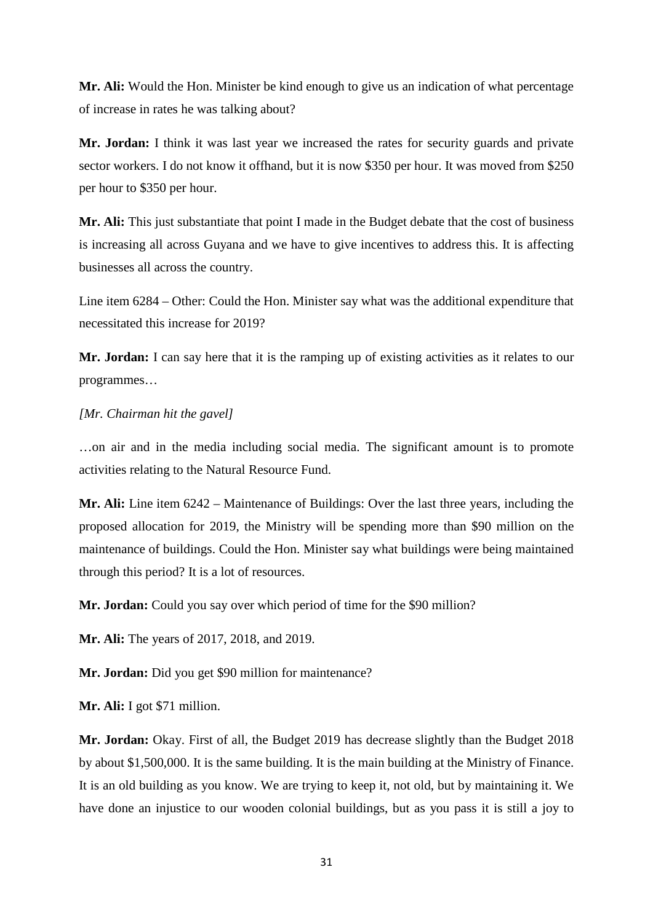**Mr. Ali:** Would the Hon. Minister be kind enough to give us an indication of what percentage of increase in rates he was talking about?

**Mr. Jordan:** I think it was last year we increased the rates for security guards and private sector workers. I do not know it offhand, but it is now \$350 per hour. It was moved from \$250 per hour to \$350 per hour.

**Mr. Ali:** This just substantiate that point I made in the Budget debate that the cost of business is increasing all across Guyana and we have to give incentives to address this. It is affecting businesses all across the country.

Line item 6284 – Other: Could the Hon. Minister say what was the additional expenditure that necessitated this increase for 2019?

**Mr. Jordan:** I can say here that it is the ramping up of existing activities as it relates to our programmes…

#### *[Mr. Chairman hit the gavel]*

…on air and in the media including social media. The significant amount is to promote activities relating to the Natural Resource Fund.

**Mr. Ali:** Line item 6242 – Maintenance of Buildings: Over the last three years, including the proposed allocation for 2019, the Ministry will be spending more than \$90 million on the maintenance of buildings. Could the Hon. Minister say what buildings were being maintained through this period? It is a lot of resources.

**Mr. Jordan:** Could you say over which period of time for the \$90 million?

**Mr. Ali:** The years of 2017, 2018, and 2019.

**Mr. Jordan:** Did you get \$90 million for maintenance?

**Mr. Ali:** I got \$71 million.

**Mr. Jordan:** Okay. First of all, the Budget 2019 has decrease slightly than the Budget 2018 by about \$1,500,000. It is the same building. It is the main building at the Ministry of Finance. It is an old building as you know. We are trying to keep it, not old, but by maintaining it. We have done an injustice to our wooden colonial buildings, but as you pass it is still a joy to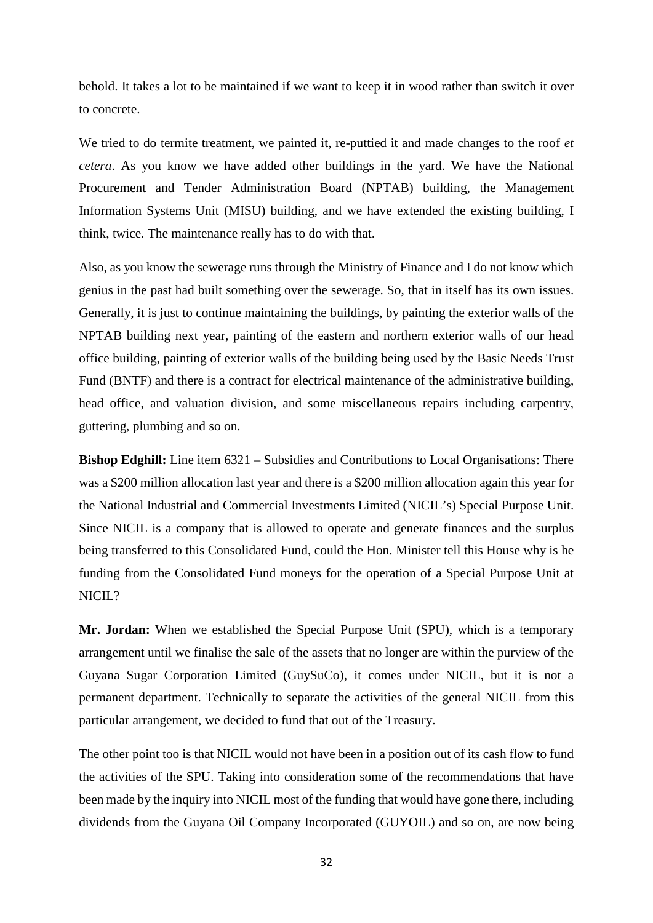behold. It takes a lot to be maintained if we want to keep it in wood rather than switch it over to concrete.

We tried to do termite treatment, we painted it, re-puttied it and made changes to the roof *et cetera*. As you know we have added other buildings in the yard. We have the National Procurement and Tender Administration Board (NPTAB) building, the Management Information Systems Unit (MISU) building, and we have extended the existing building, I think, twice. The maintenance really has to do with that.

Also, as you know the sewerage runs through the Ministry of Finance and I do not know which genius in the past had built something over the sewerage. So, that in itself has its own issues. Generally, it is just to continue maintaining the buildings, by painting the exterior walls of the NPTAB building next year, painting of the eastern and northern exterior walls of our head office building, painting of exterior walls of the building being used by the Basic Needs Trust Fund (BNTF) and there is a contract for electrical maintenance of the administrative building, head office, and valuation division, and some miscellaneous repairs including carpentry, guttering, plumbing and so on.

**Bishop Edghill:** Line item 6321 – Subsidies and Contributions to Local Organisations: There was a \$200 million allocation last year and there is a \$200 million allocation again this year for the National Industrial and Commercial Investments Limited (NICIL's) Special Purpose Unit. Since NICIL is a company that is allowed to operate and generate finances and the surplus being transferred to this Consolidated Fund, could the Hon. Minister tell this House why is he funding from the Consolidated Fund moneys for the operation of a Special Purpose Unit at  $NICII.2$ 

**Mr. Jordan:** When we established the Special Purpose Unit (SPU), which is a temporary arrangement until we finalise the sale of the assets that no longer are within the purview of the Guyana Sugar Corporation Limited (GuySuCo), it comes under NICIL, but it is not a permanent department. Technically to separate the activities of the general NICIL from this particular arrangement, we decided to fund that out of the Treasury.

The other point too is that NICIL would not have been in a position out of its cash flow to fund the activities of the SPU. Taking into consideration some of the recommendations that have been made by the inquiry into NICIL most of the funding that would have gone there, including dividends from the Guyana Oil Company Incorporated (GUYOIL) and so on, are now being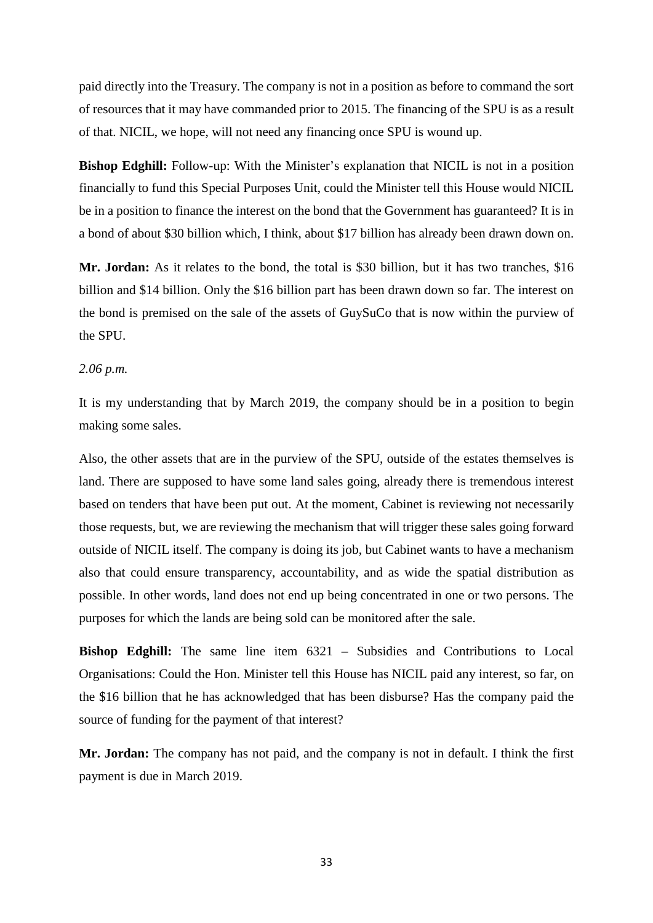paid directly into the Treasury. The company is not in a position as before to command the sort of resources that it may have commanded prior to 2015. The financing of the SPU is as a result of that. NICIL, we hope, will not need any financing once SPU is wound up.

**Bishop Edghill:** Follow-up: With the Minister's explanation that NICIL is not in a position financially to fund this Special Purposes Unit, could the Minister tell this House would NICIL be in a position to finance the interest on the bond that the Government has guaranteed? It is in a bond of about \$30 billion which, I think, about \$17 billion has already been drawn down on.

**Mr. Jordan:** As it relates to the bond, the total is \$30 billion, but it has two tranches, \$16 billion and \$14 billion. Only the \$16 billion part has been drawn down so far. The interest on the bond is premised on the sale of the assets of GuySuCo that is now within the purview of the SPU.

# *2.06 p.m.*

It is my understanding that by March 2019, the company should be in a position to begin making some sales.

Also, the other assets that are in the purview of the SPU, outside of the estates themselves is land. There are supposed to have some land sales going, already there is tremendous interest based on tenders that have been put out. At the moment, Cabinet is reviewing not necessarily those requests, but, we are reviewing the mechanism that will trigger these sales going forward outside of NICIL itself. The company is doing its job, but Cabinet wants to have a mechanism also that could ensure transparency, accountability, and as wide the spatial distribution as possible. In other words, land does not end up being concentrated in one or two persons. The purposes for which the lands are being sold can be monitored after the sale.

**Bishop Edghill:** The same line item 6321 – Subsidies and Contributions to Local Organisations: Could the Hon. Minister tell this House has NICIL paid any interest, so far, on the \$16 billion that he has acknowledged that has been disburse? Has the company paid the source of funding for the payment of that interest?

**Mr. Jordan:** The company has not paid, and the company is not in default. I think the first payment is due in March 2019.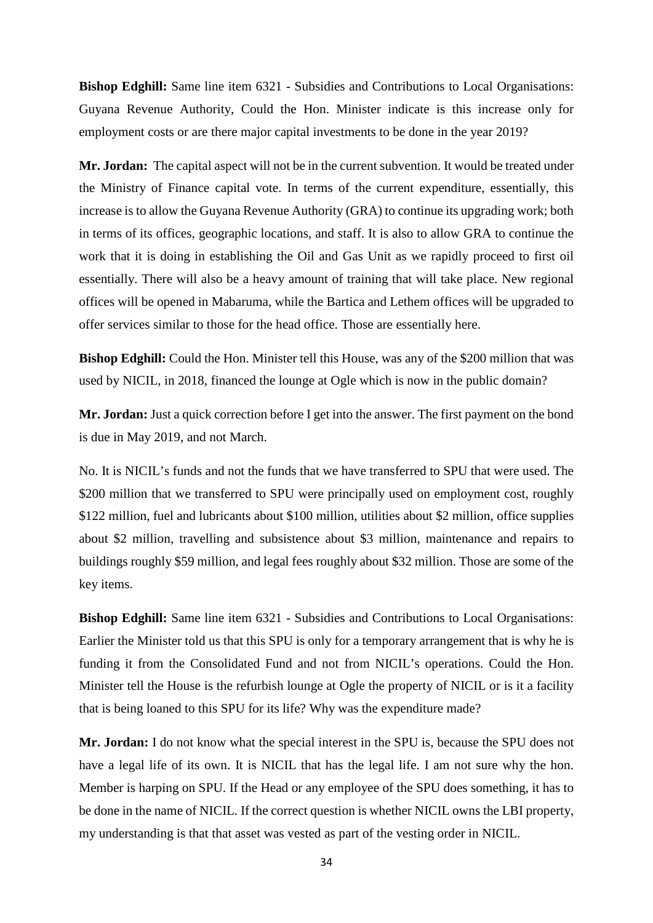**Bishop Edghill:** Same line item 6321 - Subsidies and Contributions to Local Organisations: Guyana Revenue Authority, Could the Hon. Minister indicate is this increase only for employment costs or are there major capital investments to be done in the year 2019?

**Mr. Jordan:** The capital aspect will not be in the current subvention. It would be treated under the Ministry of Finance capital vote. In terms of the current expenditure, essentially, this increase is to allow the Guyana Revenue Authority (GRA) to continue its upgrading work; both in terms of its offices, geographic locations, and staff. It is also to allow GRA to continue the work that it is doing in establishing the Oil and Gas Unit as we rapidly proceed to first oil essentially. There will also be a heavy amount of training that will take place. New regional offices will be opened in Mabaruma, while the Bartica and Lethem offices will be upgraded to offer services similar to those for the head office. Those are essentially here.

**Bishop Edghill:** Could the Hon. Minister tell this House, was any of the \$200 million that was used by NICIL, in 2018, financed the lounge at Ogle which is now in the public domain?

**Mr. Jordan:** Just a quick correction before I get into the answer. The first payment on the bond is due in May 2019, and not March.

No. It is NICIL's funds and not the funds that we have transferred to SPU that were used. The \$200 million that we transferred to SPU were principally used on employment cost, roughly \$122 million, fuel and lubricants about \$100 million, utilities about \$2 million, office supplies about \$2 million, travelling and subsistence about \$3 million, maintenance and repairs to buildings roughly \$59 million, and legal fees roughly about \$32 million. Those are some of the key items.

**Bishop Edghill:** Same line item 6321 - Subsidies and Contributions to Local Organisations: Earlier the Minister told us that this SPU is only for a temporary arrangement that is why he is funding it from the Consolidated Fund and not from NICIL's operations. Could the Hon. Minister tell the House is the refurbish lounge at Ogle the property of NICIL or is it a facility that is being loaned to this SPU for its life? Why was the expenditure made?

**Mr. Jordan:** I do not know what the special interest in the SPU is, because the SPU does not have a legal life of its own. It is NICIL that has the legal life. I am not sure why the hon. Member is harping on SPU. If the Head or any employee of the SPU does something, it has to be done in the name of NICIL. If the correct question is whether NICIL owns the LBI property, my understanding is that that asset was vested as part of the vesting order in NICIL.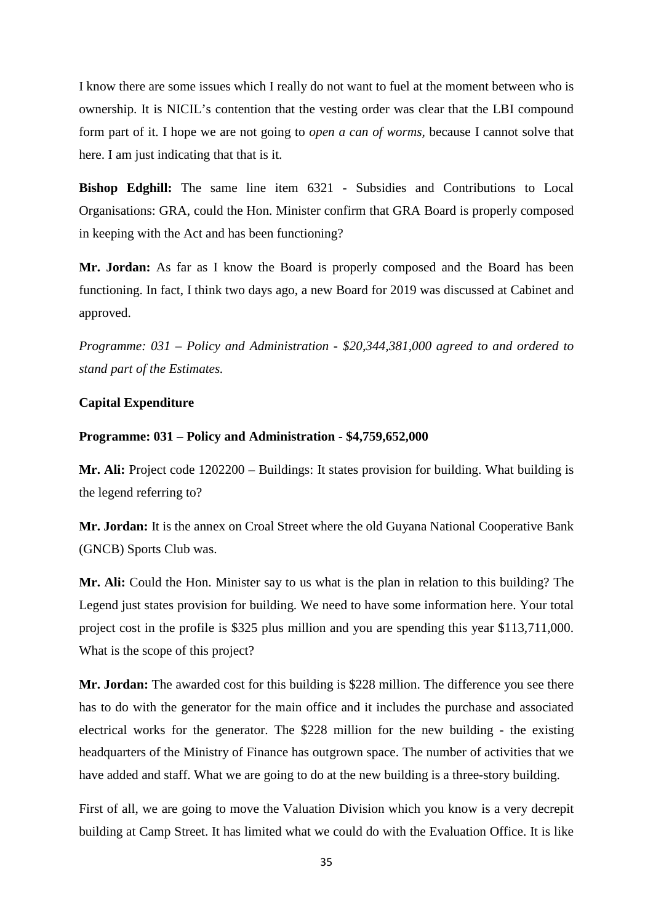I know there are some issues which I really do not want to fuel at the moment between who is ownership. It is NICIL's contention that the vesting order was clear that the LBI compound form part of it. I hope we are not going to *open a can of worms,* because I cannot solve that here. I am just indicating that that is it.

**Bishop Edghill:** The same line item 6321 - Subsidies and Contributions to Local Organisations: GRA, could the Hon. Minister confirm that GRA Board is properly composed in keeping with the Act and has been functioning?

**Mr. Jordan:** As far as I know the Board is properly composed and the Board has been functioning. In fact, I think two days ago, a new Board for 2019 was discussed at Cabinet and approved.

*Programme: 031 – Policy and Administration - \$20,344,381,000 agreed to and ordered to stand part of the Estimates.*

#### **Capital Expenditure**

#### **Programme: 031 – Policy and Administration - \$4,759,652,000**

**Mr. Ali:** Project code 1202200 – Buildings: It states provision for building. What building is the legend referring to?

**Mr. Jordan:** It is the annex on Croal Street where the old Guyana National Cooperative Bank (GNCB) Sports Club was.

**Mr. Ali:** Could the Hon. Minister say to us what is the plan in relation to this building? The Legend just states provision for building. We need to have some information here. Your total project cost in the profile is \$325 plus million and you are spending this year \$113,711,000. What is the scope of this project?

**Mr. Jordan:** The awarded cost for this building is \$228 million. The difference you see there has to do with the generator for the main office and it includes the purchase and associated electrical works for the generator. The \$228 million for the new building - the existing headquarters of the Ministry of Finance has outgrown space. The number of activities that we have added and staff. What we are going to do at the new building is a three-story building.

First of all, we are going to move the Valuation Division which you know is a very decrepit building at Camp Street. It has limited what we could do with the Evaluation Office. It is like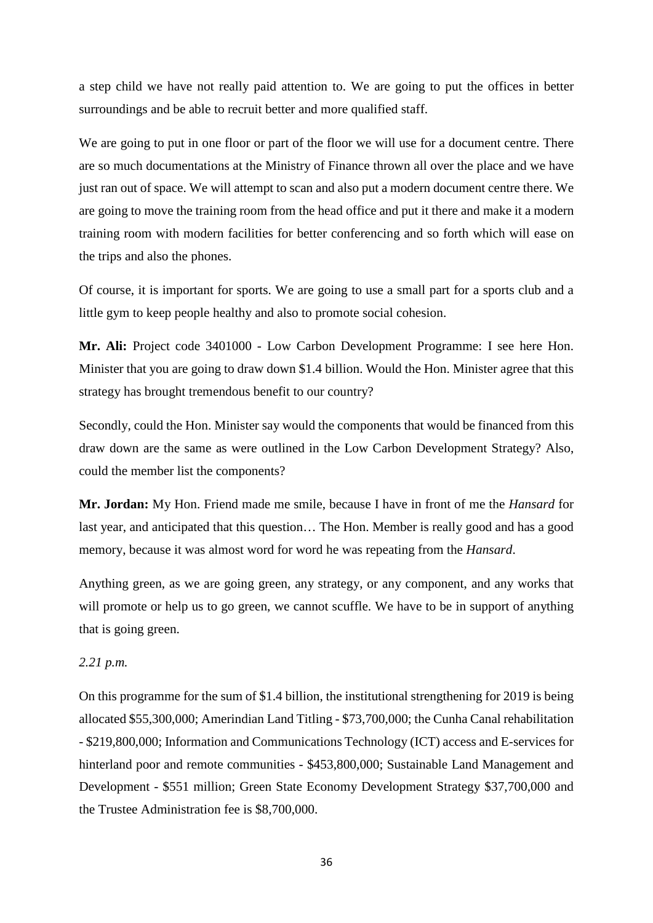a step child we have not really paid attention to. We are going to put the offices in better surroundings and be able to recruit better and more qualified staff.

We are going to put in one floor or part of the floor we will use for a document centre. There are so much documentations at the Ministry of Finance thrown all over the place and we have just ran out of space. We will attempt to scan and also put a modern document centre there. We are going to move the training room from the head office and put it there and make it a modern training room with modern facilities for better conferencing and so forth which will ease on the trips and also the phones.

Of course, it is important for sports. We are going to use a small part for a sports club and a little gym to keep people healthy and also to promote social cohesion.

**Mr. Ali:** Project code 3401000 - Low Carbon Development Programme: I see here Hon. Minister that you are going to draw down \$1.4 billion. Would the Hon. Minister agree that this strategy has brought tremendous benefit to our country?

Secondly, could the Hon. Minister say would the components that would be financed from this draw down are the same as were outlined in the Low Carbon Development Strategy? Also, could the member list the components?

**Mr. Jordan:** My Hon. Friend made me smile, because I have in front of me the *Hansard* for last year, and anticipated that this question… The Hon. Member is really good and has a good memory, because it was almost word for word he was repeating from the *Hansard*.

Anything green, as we are going green, any strategy, or any component, and any works that will promote or help us to go green, we cannot scuffle. We have to be in support of anything that is going green.

# *2.21 p.m.*

On this programme for the sum of \$1.4 billion, the institutional strengthening for 2019 is being allocated \$55,300,000; Amerindian Land Titling - \$73,700,000; the Cunha Canal rehabilitation - \$219,800,000; Information and Communications Technology (ICT) access and E-services for hinterland poor and remote communities - \$453,800,000; Sustainable Land Management and Development - \$551 million; Green State Economy Development Strategy \$37,700,000 and the Trustee Administration fee is \$8,700,000.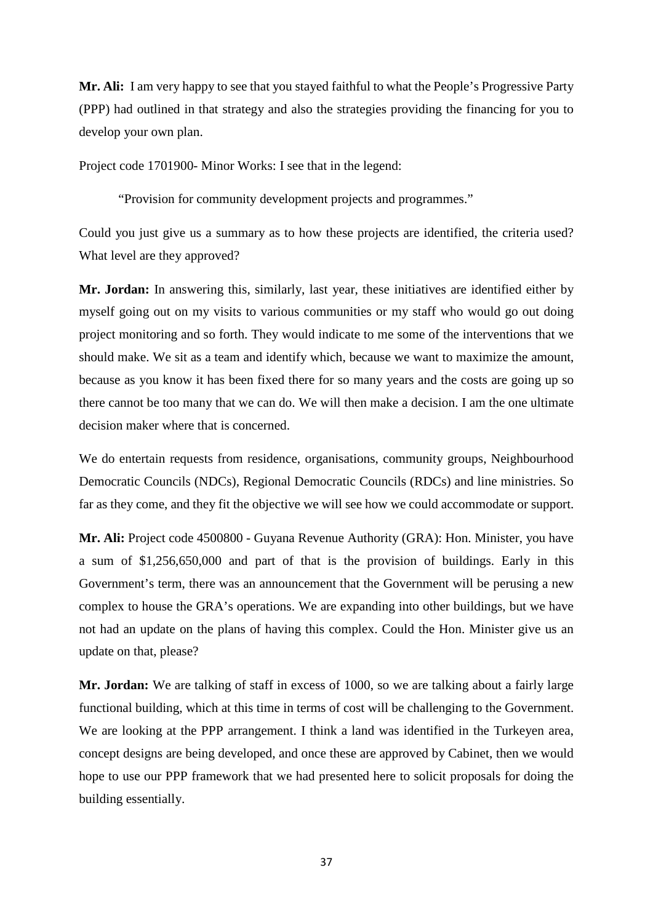**Mr. Ali:** I am very happy to see that you stayed faithful to what the People's Progressive Party (PPP) had outlined in that strategy and also the strategies providing the financing for you to develop your own plan.

Project code 1701900- Minor Works: I see that in the legend:

"Provision for community development projects and programmes."

Could you just give us a summary as to how these projects are identified, the criteria used? What level are they approved?

**Mr. Jordan:** In answering this, similarly, last year, these initiatives are identified either by myself going out on my visits to various communities or my staff who would go out doing project monitoring and so forth. They would indicate to me some of the interventions that we should make. We sit as a team and identify which, because we want to maximize the amount, because as you know it has been fixed there for so many years and the costs are going up so there cannot be too many that we can do. We will then make a decision. I am the one ultimate decision maker where that is concerned.

We do entertain requests from residence, organisations, community groups, Neighbourhood Democratic Councils (NDCs), Regional Democratic Councils (RDCs) and line ministries. So far as they come, and they fit the objective we will see how we could accommodate or support.

**Mr. Ali:** Project code 4500800 - Guyana Revenue Authority (GRA): Hon. Minister, you have a sum of \$1,256,650,000 and part of that is the provision of buildings. Early in this Government's term, there was an announcement that the Government will be perusing a new complex to house the GRA's operations. We are expanding into other buildings, but we have not had an update on the plans of having this complex. Could the Hon. Minister give us an update on that, please?

**Mr. Jordan:** We are talking of staff in excess of 1000, so we are talking about a fairly large functional building, which at this time in terms of cost will be challenging to the Government. We are looking at the PPP arrangement. I think a land was identified in the Turkeyen area, concept designs are being developed, and once these are approved by Cabinet, then we would hope to use our PPP framework that we had presented here to solicit proposals for doing the building essentially.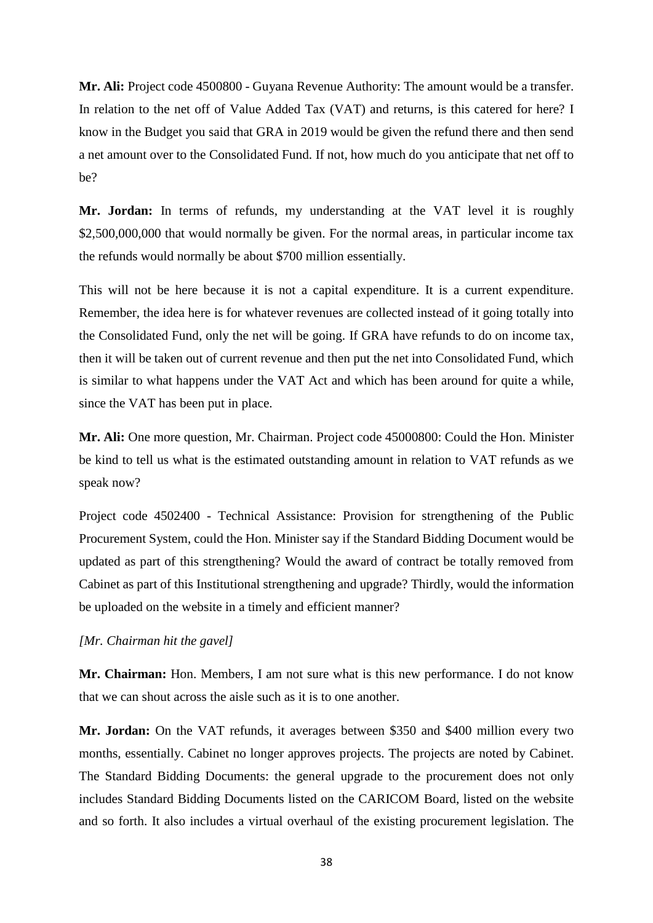**Mr. Ali:** Project code 4500800 - Guyana Revenue Authority: The amount would be a transfer. In relation to the net off of Value Added Tax (VAT) and returns, is this catered for here? I know in the Budget you said that GRA in 2019 would be given the refund there and then send a net amount over to the Consolidated Fund. If not, how much do you anticipate that net off to be?

**Mr. Jordan:** In terms of refunds, my understanding at the VAT level it is roughly \$2,500,000,000 that would normally be given. For the normal areas, in particular income tax the refunds would normally be about \$700 million essentially.

This will not be here because it is not a capital expenditure. It is a current expenditure. Remember, the idea here is for whatever revenues are collected instead of it going totally into the Consolidated Fund, only the net will be going. If GRA have refunds to do on income tax, then it will be taken out of current revenue and then put the net into Consolidated Fund, which is similar to what happens under the VAT Act and which has been around for quite a while, since the VAT has been put in place.

**Mr. Ali:** One more question, Mr. Chairman. Project code 45000800: Could the Hon. Minister be kind to tell us what is the estimated outstanding amount in relation to VAT refunds as we speak now?

Project code 4502400 - Technical Assistance: Provision for strengthening of the Public Procurement System, could the Hon. Minister say if the Standard Bidding Document would be updated as part of this strengthening? Would the award of contract be totally removed from Cabinet as part of this Institutional strengthening and upgrade? Thirdly, would the information be uploaded on the website in a timely and efficient manner?

# *[Mr. Chairman hit the gavel]*

**Mr. Chairman:** Hon. Members, I am not sure what is this new performance. I do not know that we can shout across the aisle such as it is to one another.

**Mr. Jordan:** On the VAT refunds, it averages between \$350 and \$400 million every two months, essentially. Cabinet no longer approves projects. The projects are noted by Cabinet. The Standard Bidding Documents: the general upgrade to the procurement does not only includes Standard Bidding Documents listed on the CARICOM Board, listed on the website and so forth. It also includes a virtual overhaul of the existing procurement legislation. The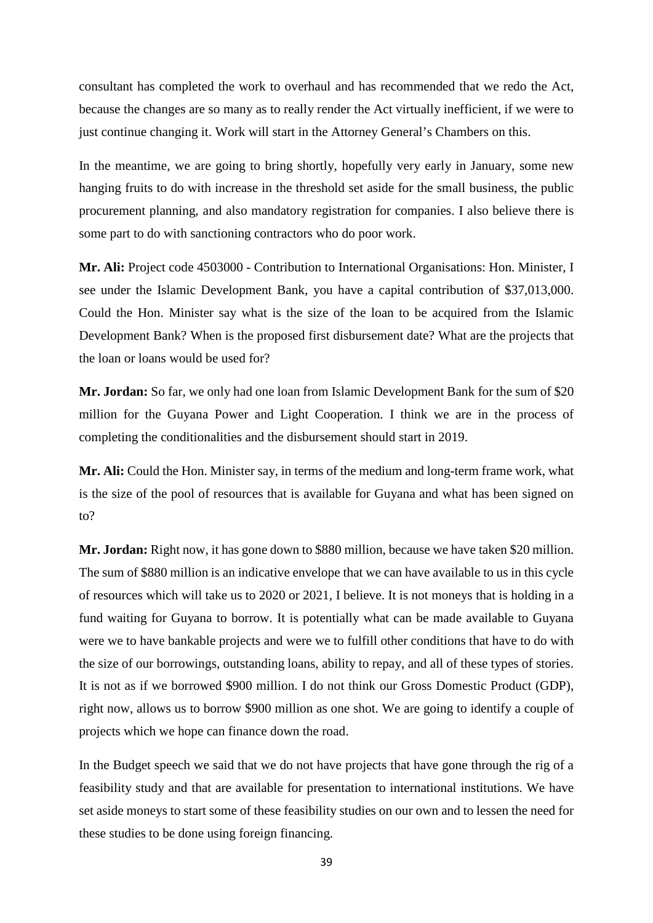consultant has completed the work to overhaul and has recommended that we redo the Act, because the changes are so many as to really render the Act virtually inefficient, if we were to just continue changing it. Work will start in the Attorney General's Chambers on this.

In the meantime, we are going to bring shortly, hopefully very early in January, some new hanging fruits to do with increase in the threshold set aside for the small business, the public procurement planning, and also mandatory registration for companies. I also believe there is some part to do with sanctioning contractors who do poor work.

**Mr. Ali:** Project code 4503000 - Contribution to International Organisations: Hon. Minister, I see under the Islamic Development Bank, you have a capital contribution of \$37,013,000. Could the Hon. Minister say what is the size of the loan to be acquired from the Islamic Development Bank? When is the proposed first disbursement date? What are the projects that the loan or loans would be used for?

**Mr. Jordan:** So far, we only had one loan from Islamic Development Bank for the sum of \$20 million for the Guyana Power and Light Cooperation. I think we are in the process of completing the conditionalities and the disbursement should start in 2019.

**Mr. Ali:** Could the Hon. Minister say, in terms of the medium and long-term frame work, what is the size of the pool of resources that is available for Guyana and what has been signed on to?

Mr. Jordan: Right now, it has gone down to \$880 million, because we have taken \$20 million. The sum of \$880 million is an indicative envelope that we can have available to us in this cycle of resources which will take us to 2020 or 2021, I believe. It is not moneys that is holding in a fund waiting for Guyana to borrow. It is potentially what can be made available to Guyana were we to have bankable projects and were we to fulfill other conditions that have to do with the size of our borrowings, outstanding loans, ability to repay, and all of these types of stories. It is not as if we borrowed \$900 million. I do not think our Gross Domestic Product (GDP), right now, allows us to borrow \$900 million as one shot. We are going to identify a couple of projects which we hope can finance down the road.

In the Budget speech we said that we do not have projects that have gone through the rig of a feasibility study and that are available for presentation to international institutions. We have set aside moneys to start some of these feasibility studies on our own and to lessen the need for these studies to be done using foreign financing.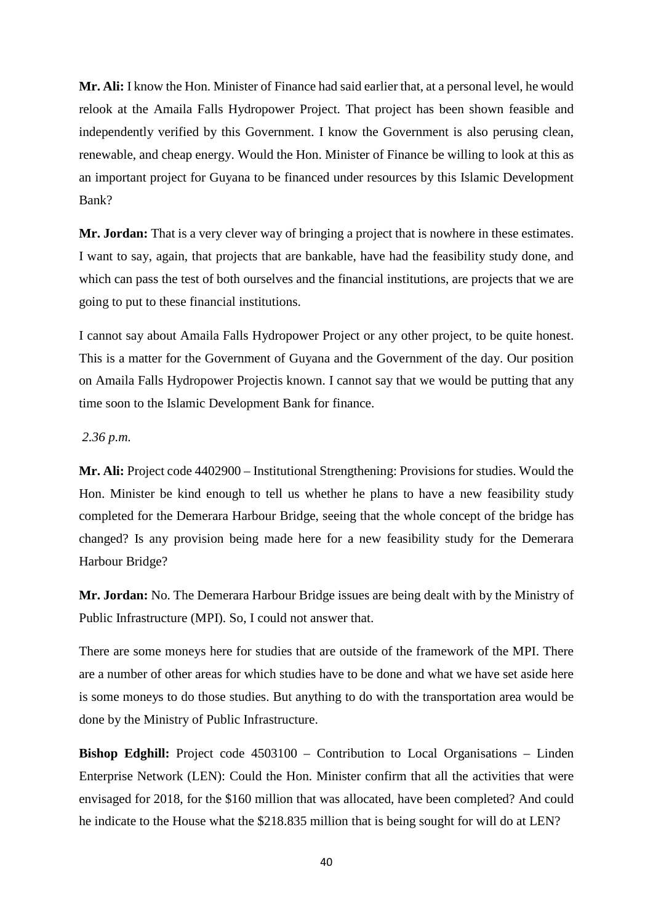**Mr. Ali:** I know the Hon. Minister of Finance had said earlier that, at a personal level, he would relook at the Amaila Falls Hydropower Project. That project has been shown feasible and independently verified by this Government. I know the Government is also perusing clean, renewable, and cheap energy. Would the Hon. Minister of Finance be willing to look at this as an important project for Guyana to be financed under resources by this Islamic Development Bank?

**Mr. Jordan:** That is a very clever way of bringing a project that is nowhere in these estimates. I want to say, again, that projects that are bankable, have had the feasibility study done, and which can pass the test of both ourselves and the financial institutions, are projects that we are going to put to these financial institutions.

I cannot say about Amaila Falls Hydropower Project or any other project, to be quite honest. This is a matter for the Government of Guyana and the Government of the day. Our position on Amaila Falls Hydropower Projectis known. I cannot say that we would be putting that any time soon to the Islamic Development Bank for finance.

#### *2.36 p.m.*

**Mr. Ali:** Project code 4402900 – Institutional Strengthening: Provisions for studies. Would the Hon. Minister be kind enough to tell us whether he plans to have a new feasibility study completed for the Demerara Harbour Bridge, seeing that the whole concept of the bridge has changed? Is any provision being made here for a new feasibility study for the Demerara Harbour Bridge?

**Mr. Jordan:** No. The Demerara Harbour Bridge issues are being dealt with by the Ministry of Public Infrastructure (MPI). So, I could not answer that.

There are some moneys here for studies that are outside of the framework of the MPI. There are a number of other areas for which studies have to be done and what we have set aside here is some moneys to do those studies. But anything to do with the transportation area would be done by the Ministry of Public Infrastructure.

**Bishop Edghill:** Project code 4503100 – Contribution to Local Organisations – Linden Enterprise Network (LEN): Could the Hon. Minister confirm that all the activities that were envisaged for 2018, for the \$160 million that was allocated, have been completed? And could he indicate to the House what the \$218.835 million that is being sought for will do at LEN?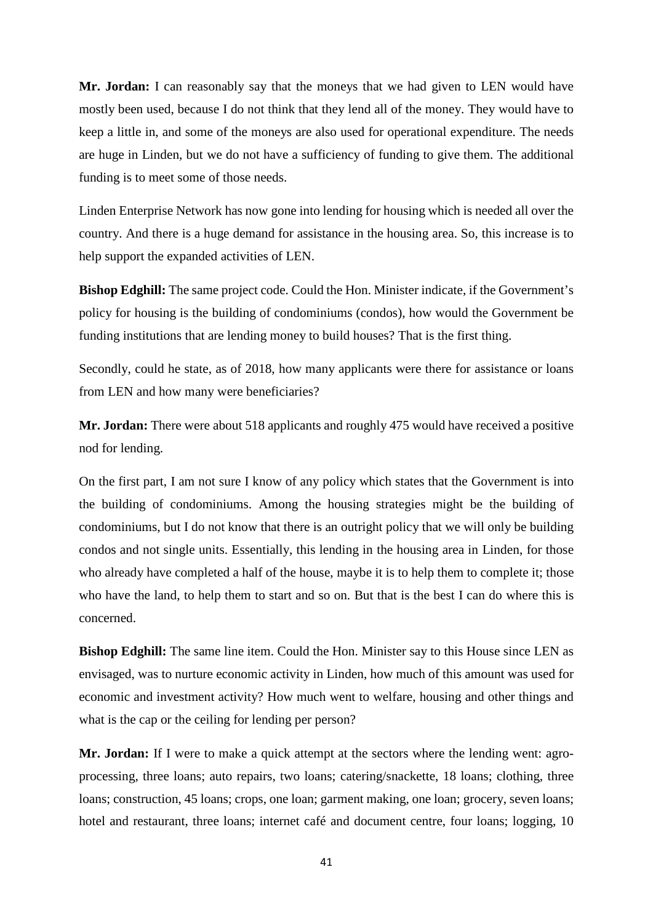**Mr. Jordan:** I can reasonably say that the moneys that we had given to LEN would have mostly been used, because I do not think that they lend all of the money. They would have to keep a little in, and some of the moneys are also used for operational expenditure. The needs are huge in Linden, but we do not have a sufficiency of funding to give them. The additional funding is to meet some of those needs.

Linden Enterprise Network has now gone into lending for housing which is needed all over the country. And there is a huge demand for assistance in the housing area. So, this increase is to help support the expanded activities of LEN.

**Bishop Edghill:** The same project code. Could the Hon. Minister indicate, if the Government's policy for housing is the building of condominiums (condos), how would the Government be funding institutions that are lending money to build houses? That is the first thing.

Secondly, could he state, as of 2018, how many applicants were there for assistance or loans from LEN and how many were beneficiaries?

**Mr. Jordan:** There were about 518 applicants and roughly 475 would have received a positive nod for lending.

On the first part, I am not sure I know of any policy which states that the Government is into the building of condominiums. Among the housing strategies might be the building of condominiums, but I do not know that there is an outright policy that we will only be building condos and not single units. Essentially, this lending in the housing area in Linden, for those who already have completed a half of the house, maybe it is to help them to complete it; those who have the land, to help them to start and so on. But that is the best I can do where this is concerned.

**Bishop Edghill:** The same line item. Could the Hon. Minister say to this House since LEN as envisaged, was to nurture economic activity in Linden, how much of this amount was used for economic and investment activity? How much went to welfare, housing and other things and what is the cap or the ceiling for lending per person?

**Mr. Jordan:** If I were to make a quick attempt at the sectors where the lending went: agroprocessing, three loans; auto repairs, two loans; catering/snackette, 18 loans; clothing, three loans; construction, 45 loans; crops, one loan; garment making, one loan; grocery, seven loans; hotel and restaurant, three loans; internet café and document centre, four loans; logging, 10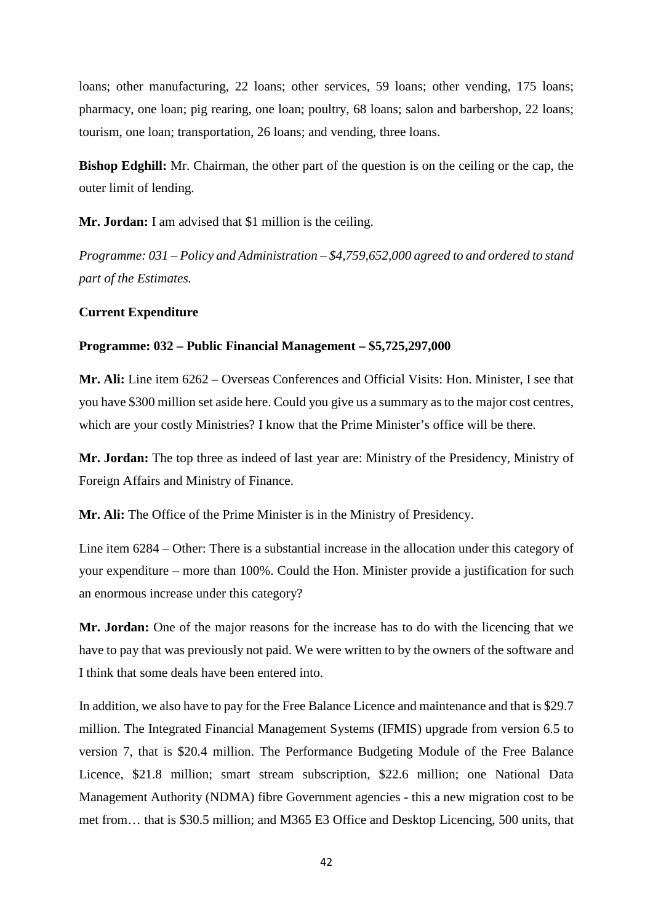loans; other manufacturing, 22 loans; other services, 59 loans; other vending, 175 loans; pharmacy, one loan; pig rearing, one loan; poultry, 68 loans; salon and barbershop, 22 loans; tourism, one loan; transportation, 26 loans; and vending, three loans.

**Bishop Edghill:** Mr. Chairman, the other part of the question is on the ceiling or the cap, the outer limit of lending.

**Mr. Jordan:** I am advised that \$1 million is the ceiling.

*Programme: 031 – Policy and Administration – \$4,759,652,000 agreed to and ordered to stand part of the Estimates.*

#### **Current Expenditure**

#### **Programme: 032 – Public Financial Management – \$5,725,297,000**

**Mr. Ali:** Line item 6262 – Overseas Conferences and Official Visits: Hon. Minister, I see that you have \$300 million set aside here. Could you give us a summary as to the major cost centres, which are your costly Ministries? I know that the Prime Minister's office will be there.

**Mr. Jordan:** The top three as indeed of last year are: Ministry of the Presidency, Ministry of Foreign Affairs and Ministry of Finance.

**Mr. Ali:** The Office of the Prime Minister is in the Ministry of Presidency.

Line item 6284 – Other: There is a substantial increase in the allocation under this category of your expenditure – more than 100%. Could the Hon. Minister provide a justification for such an enormous increase under this category?

**Mr. Jordan:** One of the major reasons for the increase has to do with the licencing that we have to pay that was previously not paid. We were written to by the owners of the software and I think that some deals have been entered into.

In addition, we also have to pay for the Free Balance Licence and maintenance and that is \$29.7 million. The Integrated Financial Management Systems (IFMIS) upgrade from version 6.5 to version 7, that is \$20.4 million. The Performance Budgeting Module of the Free Balance Licence, \$21.8 million; smart stream subscription, \$22.6 million; one National Data Management Authority (NDMA) fibre Government agencies - this a new migration cost to be met from… that is \$30.5 million; and M365 E3 Office and Desktop Licencing, 500 units, that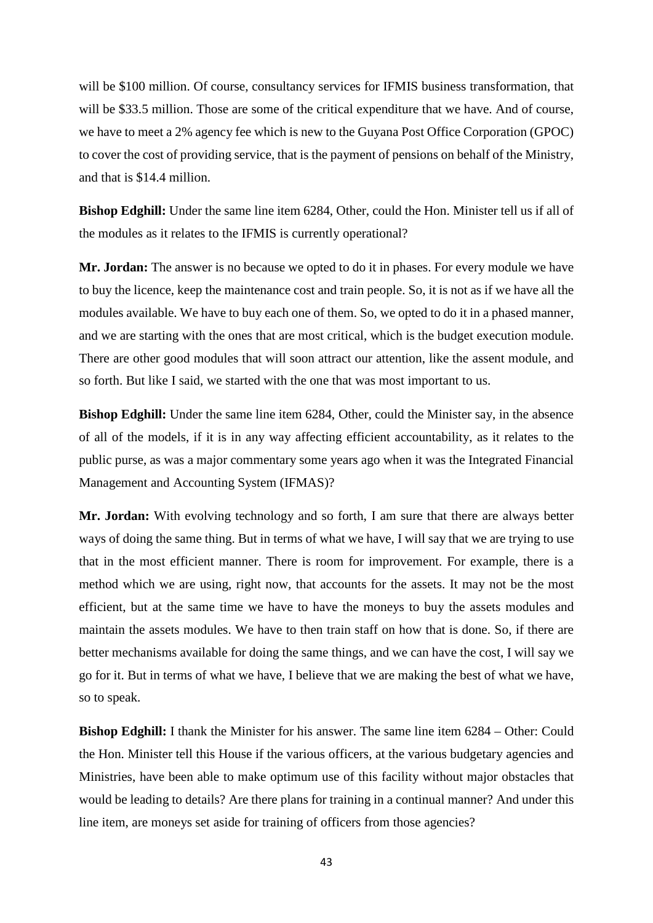will be \$100 million. Of course, consultancy services for IFMIS business transformation, that will be \$33.5 million. Those are some of the critical expenditure that we have. And of course, we have to meet a 2% agency fee which is new to the Guyana Post Office Corporation (GPOC) to cover the cost of providing service, that is the payment of pensions on behalf of the Ministry, and that is \$14.4 million.

**Bishop Edghill:** Under the same line item 6284, Other, could the Hon. Minister tell us if all of the modules as it relates to the IFMIS is currently operational?

**Mr. Jordan:** The answer is no because we opted to do it in phases. For every module we have to buy the licence, keep the maintenance cost and train people. So, it is not as if we have all the modules available. We have to buy each one of them. So, we opted to do it in a phased manner, and we are starting with the ones that are most critical, which is the budget execution module. There are other good modules that will soon attract our attention, like the assent module, and so forth. But like I said, we started with the one that was most important to us.

**Bishop Edghill:** Under the same line item 6284, Other, could the Minister say, in the absence of all of the models, if it is in any way affecting efficient accountability, as it relates to the public purse, as was a major commentary some years ago when it was the Integrated Financial Management and Accounting System (IFMAS)?

**Mr. Jordan:** With evolving technology and so forth, I am sure that there are always better ways of doing the same thing. But in terms of what we have, I will say that we are trying to use that in the most efficient manner. There is room for improvement. For example, there is a method which we are using, right now, that accounts for the assets. It may not be the most efficient, but at the same time we have to have the moneys to buy the assets modules and maintain the assets modules. We have to then train staff on how that is done. So, if there are better mechanisms available for doing the same things, and we can have the cost, I will say we go for it. But in terms of what we have, I believe that we are making the best of what we have, so to speak.

**Bishop Edghill:** I thank the Minister for his answer. The same line item  $6284 -$ Other: Could the Hon. Minister tell this House if the various officers, at the various budgetary agencies and Ministries, have been able to make optimum use of this facility without major obstacles that would be leading to details? Are there plans for training in a continual manner? And under this line item, are moneys set aside for training of officers from those agencies?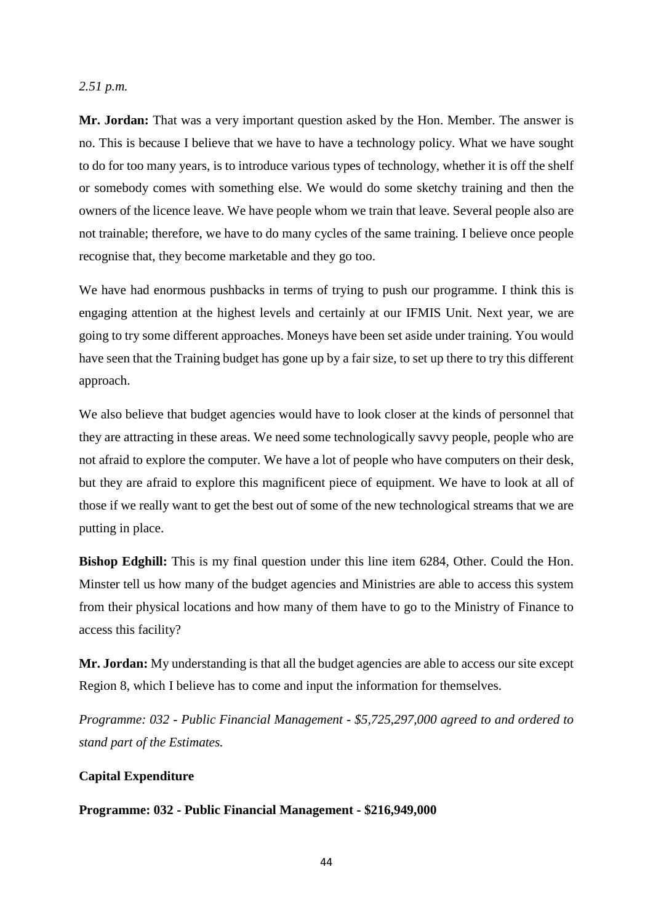#### *2.51 p.m.*

**Mr. Jordan:** That was a very important question asked by the Hon. Member. The answer is no. This is because I believe that we have to have a technology policy. What we have sought to do for too many years, is to introduce various types of technology, whether it is off the shelf or somebody comes with something else. We would do some sketchy training and then the owners of the licence leave. We have people whom we train that leave. Several people also are not trainable; therefore, we have to do many cycles of the same training. I believe once people recognise that, they become marketable and they go too.

We have had enormous pushbacks in terms of trying to push our programme. I think this is engaging attention at the highest levels and certainly at our IFMIS Unit. Next year, we are going to try some different approaches. Moneys have been set aside under training. You would have seen that the Training budget has gone up by a fair size, to set up there to try this different approach.

We also believe that budget agencies would have to look closer at the kinds of personnel that they are attracting in these areas. We need some technologically savvy people, people who are not afraid to explore the computer. We have a lot of people who have computers on their desk, but they are afraid to explore this magnificent piece of equipment. We have to look at all of those if we really want to get the best out of some of the new technological streams that we are putting in place.

**Bishop Edghill:** This is my final question under this line item 6284, Other. Could the Hon. Minster tell us how many of the budget agencies and Ministries are able to access this system from their physical locations and how many of them have to go to the Ministry of Finance to access this facility?

**Mr. Jordan:** My understanding is that all the budget agencies are able to access our site except Region 8, which I believe has to come and input the information for themselves.

*Programme: 032 - Public Financial Management - \$5,725,297,000 agreed to and ordered to stand part of the Estimates.*

# **Capital Expenditure**

# **Programme: 032 - Public Financial Management - \$216,949,000**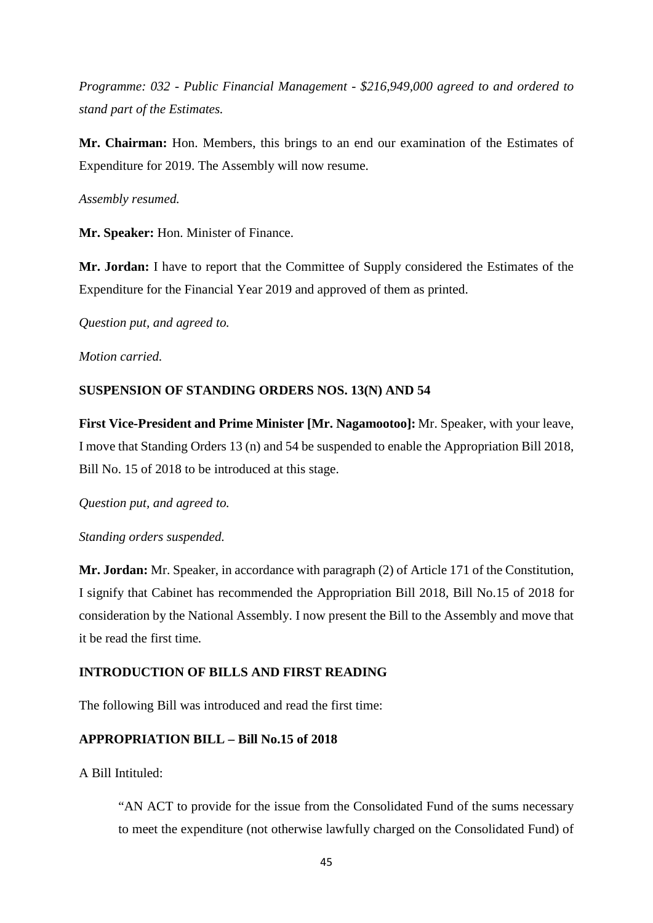*Programme: 032 - Public Financial Management - \$216,949,000 agreed to and ordered to stand part of the Estimates.*

**Mr. Chairman:** Hon. Members, this brings to an end our examination of the Estimates of Expenditure for 2019. The Assembly will now resume.

# *Assembly resumed.*

**Mr. Speaker:** Hon. Minister of Finance.

**Mr. Jordan:** I have to report that the Committee of Supply considered the Estimates of the Expenditure for the Financial Year 2019 and approved of them as printed.

*Question put, and agreed to.*

*Motion carried.*

### **SUSPENSION OF STANDING ORDERS NOS. 13(N) AND 54**

**First Vice-President and Prime Minister [Mr. Nagamootoo]:** Mr. Speaker, with your leave, I move that Standing Orders 13 (n) and 54 be suspended to enable the Appropriation Bill 2018, Bill No. 15 of 2018 to be introduced at this stage.

*Question put, and agreed to.*

#### *Standing orders suspended.*

**Mr. Jordan:** Mr. Speaker, in accordance with paragraph (2) of Article 171 of the Constitution, I signify that Cabinet has recommended the Appropriation Bill 2018, Bill No.15 of 2018 for consideration by the National Assembly. I now present the Bill to the Assembly and move that it be read the first time*.*

# **INTRODUCTION OF BILLS AND FIRST READING**

The following Bill was introduced and read the first time:

# **APPROPRIATION BILL – Bill No.15 of 2018**

A Bill Intituled:

"AN ACT to provide for the issue from the Consolidated Fund of the sums necessary to meet the expenditure (not otherwise lawfully charged on the Consolidated Fund) of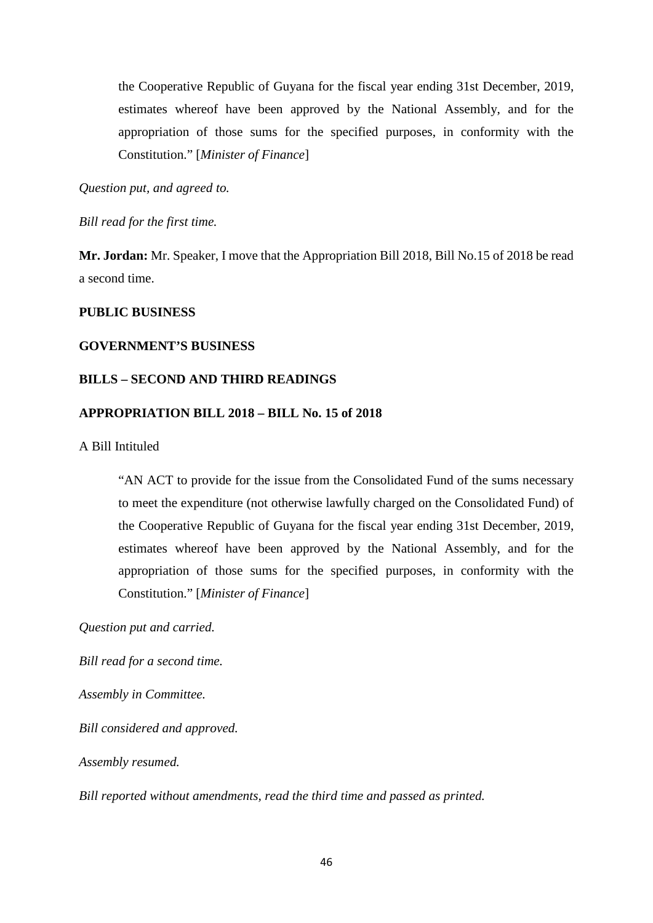the Cooperative Republic of Guyana for the fiscal year ending 31st December, 2019, estimates whereof have been approved by the National Assembly, and for the appropriation of those sums for the specified purposes, in conformity with the Constitution." [*Minister of Finance*]

*Question put, and agreed to.* 

*Bill read for the first time.*

**Mr. Jordan:** Mr. Speaker, I move that the Appropriation Bill 2018, Bill No.15 of 2018 be read a second time.

# **PUBLIC BUSINESS**

#### **GOVERNMENT'S BUSINESS**

# **BILLS – SECOND AND THIRD READINGS**

#### **APPROPRIATION BILL 2018 – BILL No. 15 of 2018**

A Bill Intituled

"AN ACT to provide for the issue from the Consolidated Fund of the sums necessary to meet the expenditure (not otherwise lawfully charged on the Consolidated Fund) of the Cooperative Republic of Guyana for the fiscal year ending 31st December, 2019, estimates whereof have been approved by the National Assembly, and for the appropriation of those sums for the specified purposes, in conformity with the Constitution." [*Minister of Finance*]

*Question put and carried.*

*Bill read for a second time.*

*Assembly in Committee.*

*Bill considered and approved.*

*Assembly resumed.*

*Bill reported without amendments, read the third time and passed as printed.*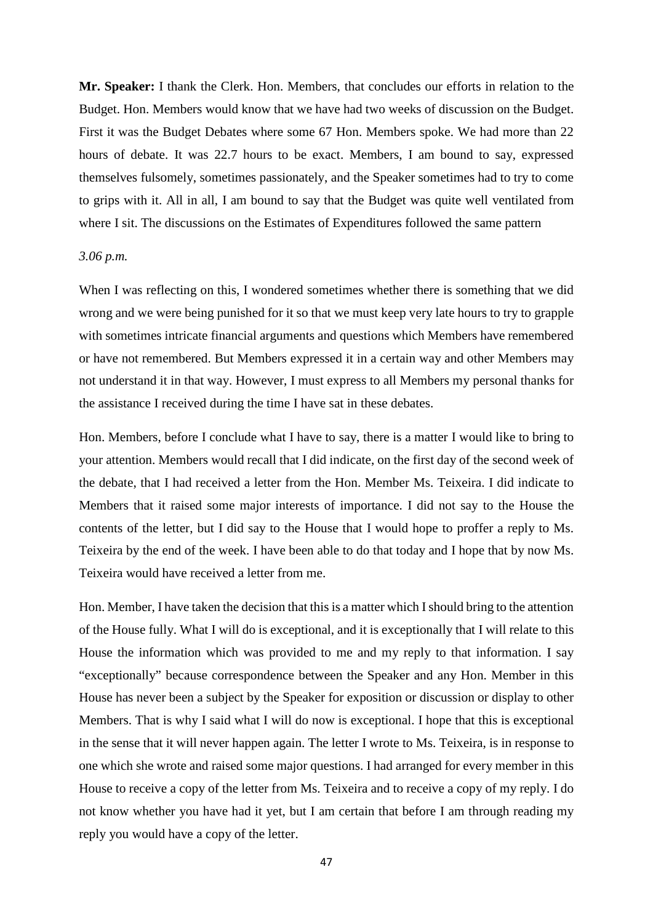**Mr. Speaker:** I thank the Clerk. Hon. Members, that concludes our efforts in relation to the Budget. Hon. Members would know that we have had two weeks of discussion on the Budget. First it was the Budget Debates where some 67 Hon. Members spoke. We had more than 22 hours of debate. It was 22.7 hours to be exact. Members, I am bound to say, expressed themselves fulsomely, sometimes passionately, and the Speaker sometimes had to try to come to grips with it. All in all, I am bound to say that the Budget was quite well ventilated from where I sit. The discussions on the Estimates of Expenditures followed the same pattern

#### *3.06 p.m.*

When I was reflecting on this, I wondered sometimes whether there is something that we did wrong and we were being punished for it so that we must keep very late hours to try to grapple with sometimes intricate financial arguments and questions which Members have remembered or have not remembered. But Members expressed it in a certain way and other Members may not understand it in that way. However, I must express to all Members my personal thanks for the assistance I received during the time I have sat in these debates.

Hon. Members, before I conclude what I have to say, there is a matter I would like to bring to your attention. Members would recall that I did indicate, on the first day of the second week of the debate, that I had received a letter from the Hon. Member Ms. Teixeira. I did indicate to Members that it raised some major interests of importance. I did not say to the House the contents of the letter, but I did say to the House that I would hope to proffer a reply to Ms. Teixeira by the end of the week. I have been able to do that today and I hope that by now Ms. Teixeira would have received a letter from me.

Hon. Member, I have taken the decision that this is a matter which I should bring to the attention of the House fully. What I will do is exceptional, and it is exceptionally that I will relate to this House the information which was provided to me and my reply to that information. I say "exceptionally" because correspondence between the Speaker and any Hon. Member in this House has never been a subject by the Speaker for exposition or discussion or display to other Members. That is why I said what I will do now is exceptional. I hope that this is exceptional in the sense that it will never happen again. The letter I wrote to Ms. Teixeira, is in response to one which she wrote and raised some major questions. I had arranged for every member in this House to receive a copy of the letter from Ms. Teixeira and to receive a copy of my reply. I do not know whether you have had it yet, but I am certain that before I am through reading my reply you would have a copy of the letter.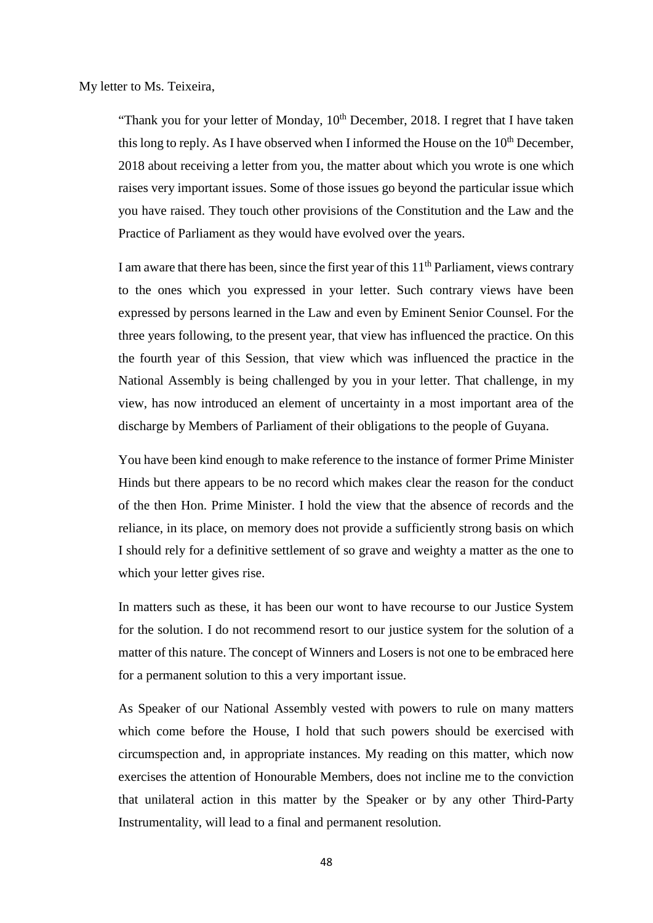My letter to Ms. Teixeira,

"Thank you for your letter of Monday,  $10<sup>th</sup>$  December, 2018. I regret that I have taken this long to reply. As I have observed when I informed the House on the  $10<sup>th</sup>$  December, 2018 about receiving a letter from you, the matter about which you wrote is one which raises very important issues. Some of those issues go beyond the particular issue which you have raised. They touch other provisions of the Constitution and the Law and the Practice of Parliament as they would have evolved over the years.

I am aware that there has been, since the first year of this  $11<sup>th</sup>$  Parliament, views contrary to the ones which you expressed in your letter. Such contrary views have been expressed by persons learned in the Law and even by Eminent Senior Counsel. For the three years following, to the present year, that view has influenced the practice. On this the fourth year of this Session, that view which was influenced the practice in the National Assembly is being challenged by you in your letter. That challenge, in my view, has now introduced an element of uncertainty in a most important area of the discharge by Members of Parliament of their obligations to the people of Guyana.

You have been kind enough to make reference to the instance of former Prime Minister Hinds but there appears to be no record which makes clear the reason for the conduct of the then Hon. Prime Minister. I hold the view that the absence of records and the reliance, in its place, on memory does not provide a sufficiently strong basis on which I should rely for a definitive settlement of so grave and weighty a matter as the one to which your letter gives rise.

In matters such as these, it has been our wont to have recourse to our Justice System for the solution. I do not recommend resort to our justice system for the solution of a matter of this nature. The concept of Winners and Losers is not one to be embraced here for a permanent solution to this a very important issue.

As Speaker of our National Assembly vested with powers to rule on many matters which come before the House, I hold that such powers should be exercised with circumspection and, in appropriate instances. My reading on this matter, which now exercises the attention of Honourable Members, does not incline me to the conviction that unilateral action in this matter by the Speaker or by any other Third-Party Instrumentality, will lead to a final and permanent resolution.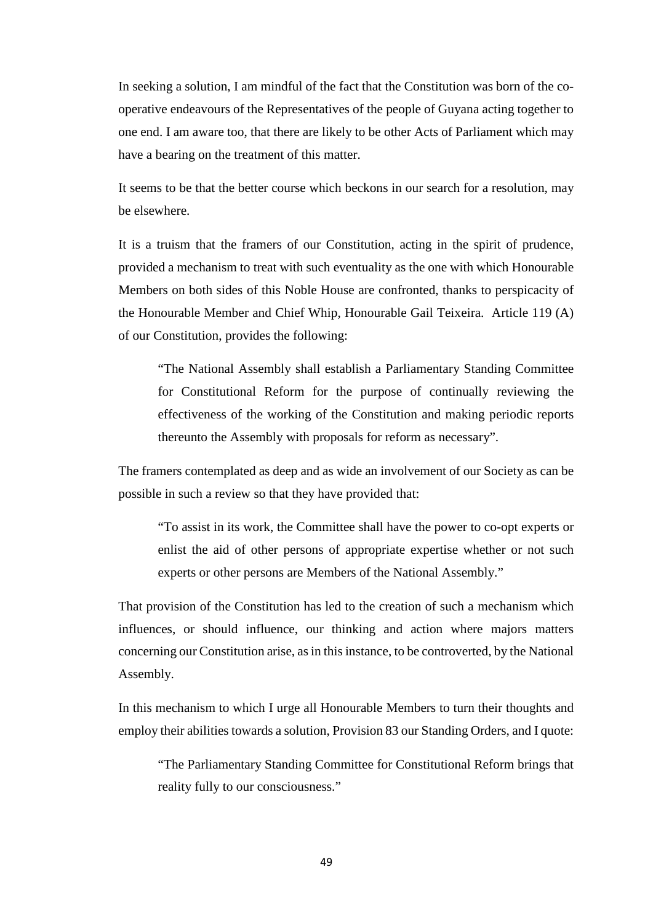In seeking a solution, I am mindful of the fact that the Constitution was born of the cooperative endeavours of the Representatives of the people of Guyana acting together to one end. I am aware too, that there are likely to be other Acts of Parliament which may have a bearing on the treatment of this matter.

It seems to be that the better course which beckons in our search for a resolution, may be elsewhere.

It is a truism that the framers of our Constitution, acting in the spirit of prudence, provided a mechanism to treat with such eventuality as the one with which Honourable Members on both sides of this Noble House are confronted, thanks to perspicacity of the Honourable Member and Chief Whip, Honourable Gail Teixeira. Article 119 (A) of our Constitution, provides the following:

"The National Assembly shall establish a Parliamentary Standing Committee for Constitutional Reform for the purpose of continually reviewing the effectiveness of the working of the Constitution and making periodic reports thereunto the Assembly with proposals for reform as necessary".

The framers contemplated as deep and as wide an involvement of our Society as can be possible in such a review so that they have provided that:

"To assist in its work, the Committee shall have the power to co-opt experts or enlist the aid of other persons of appropriate expertise whether or not such experts or other persons are Members of the National Assembly."

That provision of the Constitution has led to the creation of such a mechanism which influences, or should influence, our thinking and action where majors matters concerning our Constitution arise, as in this instance, to be controverted, by the National Assembly.

In this mechanism to which I urge all Honourable Members to turn their thoughts and employ their abilities towards a solution, Provision 83 our Standing Orders, and I quote:

"The Parliamentary Standing Committee for Constitutional Reform brings that reality fully to our consciousness."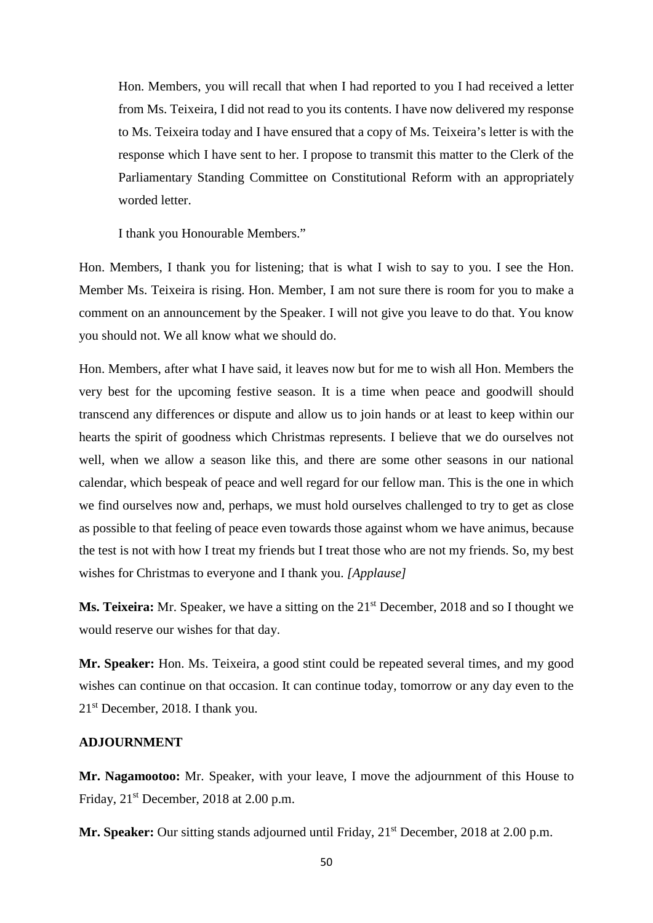Hon. Members, you will recall that when I had reported to you I had received a letter from Ms. Teixeira, I did not read to you its contents. I have now delivered my response to Ms. Teixeira today and I have ensured that a copy of Ms. Teixeira's letter is with the response which I have sent to her. I propose to transmit this matter to the Clerk of the Parliamentary Standing Committee on Constitutional Reform with an appropriately worded letter.

I thank you Honourable Members."

Hon. Members, I thank you for listening; that is what I wish to say to you. I see the Hon. Member Ms. Teixeira is rising. Hon. Member, I am not sure there is room for you to make a comment on an announcement by the Speaker. I will not give you leave to do that. You know you should not. We all know what we should do.

Hon. Members, after what I have said, it leaves now but for me to wish all Hon. Members the very best for the upcoming festive season. It is a time when peace and goodwill should transcend any differences or dispute and allow us to join hands or at least to keep within our hearts the spirit of goodness which Christmas represents. I believe that we do ourselves not well, when we allow a season like this, and there are some other seasons in our national calendar, which bespeak of peace and well regard for our fellow man. This is the one in which we find ourselves now and, perhaps, we must hold ourselves challenged to try to get as close as possible to that feeling of peace even towards those against whom we have animus, because the test is not with how I treat my friends but I treat those who are not my friends. So, my best wishes for Christmas to everyone and I thank you. *[Applause]* 

**Ms. Teixeira:** Mr. Speaker, we have a sitting on the 21<sup>st</sup> December, 2018 and so I thought we would reserve our wishes for that day.

**Mr. Speaker:** Hon. Ms. Teixeira, a good stint could be repeated several times, and my good wishes can continue on that occasion. It can continue today, tomorrow or any day even to the 21st December, 2018. I thank you.

# **ADJOURNMENT**

**Mr. Nagamootoo:** Mr. Speaker, with your leave, I move the adjournment of this House to Friday,  $21<sup>st</sup>$  December, 2018 at 2.00 p.m.

**Mr. Speaker:** Our sitting stands adjourned until Friday, 21<sup>st</sup> December, 2018 at 2.00 p.m.